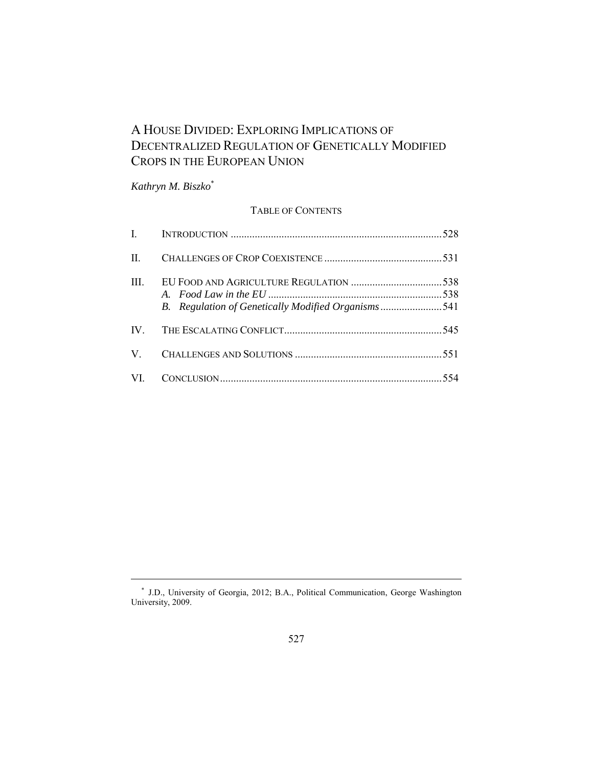# A HOUSE DIVIDED: EXPLORING IMPLICATIONS OF DECENTRALIZED REGULATION OF GENETICALLY MODIFIED CROPS IN THE EUROPEAN UNION

*Kathryn M. Biszko*\*

# TABLE OF CONTENTS

| $\mathbf{I}$ |                                                    |  |
|--------------|----------------------------------------------------|--|
| $\mathbf{H}$ |                                                    |  |
| HI.          | B. Regulation of Genetically Modified Organisms541 |  |
|              |                                                    |  |
| V —          |                                                    |  |
|              |                                                    |  |

 <sup>\*</sup> J.D., University of Georgia, 2012; B.A., Political Communication, George Washington University, 2009.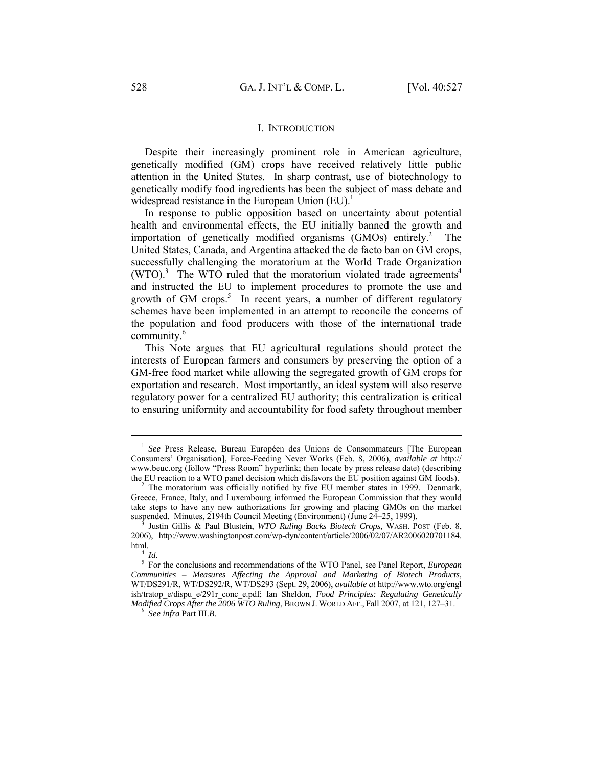#### I. INTRODUCTION

Despite their increasingly prominent role in American agriculture, genetically modified (GM) crops have received relatively little public attention in the United States. In sharp contrast, use of biotechnology to genetically modify food ingredients has been the subject of mass debate and widespread resistance in the European Union  $(EU)^{1}$ .

In response to public opposition based on uncertainty about potential health and environmental effects, the EU initially banned the growth and importation of genetically modified organisms (GMOs) entirely.<sup>2</sup> The United States, Canada, and Argentina attacked the de facto ban on GM crops, successfully challenging the moratorium at the World Trade Organization  $(WTO)^3$  The WTO ruled that the moratorium violated trade agreements<sup>4</sup> and instructed the EU to implement procedures to promote the use and growth of GM crops.<sup>5</sup> In recent years, a number of different regulatory schemes have been implemented in an attempt to reconcile the concerns of the population and food producers with those of the international trade community.<sup>6</sup>

This Note argues that EU agricultural regulations should protect the interests of European farmers and consumers by preserving the option of a GM-free food market while allowing the segregated growth of GM crops for exportation and research. Most importantly, an ideal system will also reserve regulatory power for a centralized EU authority; this centralization is critical to ensuring uniformity and accountability for food safety throughout member

<sup>&</sup>lt;sup>1</sup> See Press Release, Bureau Européen des Unions de Consommateurs [The European Consumers' Organisation], Force-Feeding Never Works (Feb. 8, 2006), *available at* http:// www.beuc.org (follow "Press Room" hyperlink; then locate by press release date) (describing the EU reaction to a WTO panel decision which disfavors the EU position against GM foods). 2

 $2$  The moratorium was officially notified by five EU member states in 1999. Denmark, Greece, France, Italy, and Luxembourg informed the European Commission that they would take steps to have any new authorizations for growing and placing GMOs on the market suspended. Minutes, 2194th Council Meeting (Environment) (June 24–25, 1999).

Justin Gillis & Paul Blustein, *WTO Ruling Backs Biotech Crops*, WASH. POST (Feb. 8, 2006), http://www.washingtonpost.com/wp-dyn/content/article/2006/02/07/AR2006020701184.

 $4$  *Id.* 

For the conclusions and recommendations of the WTO Panel, see Panel Report, *European Communities – Measures Affecting the Approval and Marketing of Biotech Products*, WT/DS291/R, WT/DS292/R, WT/DS293 (Sept. 29, 2006), *available at* http://www.wto.org/engl ish/tratop\_e/dispu\_e/291r\_conc\_e.pdf; Ian Sheldon, *Food Principles: Regulating Genetically Modified Crops After the 2006 WTO Ruling*, BROWN J. WORLD AFF., Fall 2007, at 121, 127–31. 6 *See infra* Part III.*B*.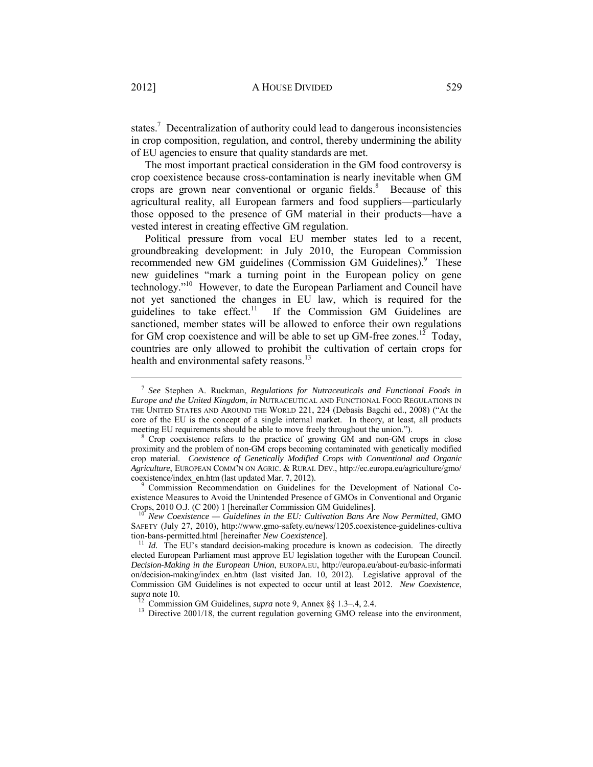states.<sup>7</sup> Decentralization of authority could lead to dangerous inconsistencies in crop composition, regulation, and control, thereby undermining the ability of EU agencies to ensure that quality standards are met.

The most important practical consideration in the GM food controversy is crop coexistence because cross-contamination is nearly inevitable when GM crops are grown near conventional or organic fields.<sup>8</sup> Because of this agricultural reality, all European farmers and food suppliers—particularly those opposed to the presence of GM material in their products—have a vested interest in creating effective GM regulation.

Political pressure from vocal EU member states led to a recent, groundbreaking development: in July 2010, the European Commission recommended new GM guidelines (Commission GM Guidelines).<sup>9</sup> These new guidelines "mark a turning point in the European policy on gene technology."10 However, to date the European Parliament and Council have not yet sanctioned the changes in EU law, which is required for the guidelines to take effect.<sup>11</sup> If the Commission GM Guidelines are sanctioned, member states will be allowed to enforce their own regulations for GM crop coexistence and will be able to set up  $GM$ -free zones.<sup>12</sup> Today, countries are only allowed to prohibit the cultivation of certain crops for health and environmental safety reasons.<sup>13</sup>

 Commission Recommendation on Guidelines for the Development of National Coexistence Measures to Avoid the Unintended Presence of GMOs in Conventional and Organic Crops, 2010 O.J. (C 200) 1 [hereinafter Commission GM Guidelines].

Crops, 2010 O.J. (C 200) 1 [hereinafter Commission GM Guidelines]. 10 *New Coexistence — Guidelines in the EU: Cultivation Bans Are Now Permitted*, GMO SAFETY (July 27, 2010), http://www.gmo-safety.eu/news/1205.coexistence-guidelines-cultiva tion-bans-permitted.html [hereinafter *New Coexistence*].<br><sup>11</sup> *Id.* The EU's standard decision-making procedure is known as codecision. The directly

 <sup>7</sup> *See* Stephen A. Ruckman, *Regulations for Nutraceuticals and Functional Foods in Europe and the United Kingdom*, *in* NUTRACEUTICAL AND FUNCTIONAL FOOD REGULATIONS IN THE UNITED STATES AND AROUND THE WORLD 221, 224 (Debasis Bagchi ed., 2008) ("At the core of the EU is the concept of a single internal market. In theory, at least, all products meeting EU requirements should be able to move freely throughout the union.").

<sup>&</sup>lt;sup>8</sup> Crop coexistence refers to the practice of growing GM and non-GM crops in close proximity and the problem of non-GM crops becoming contaminated with genetically modified crop material. *Coexistence of Genetically Modified Crops with Conventional and Organic Agriculture*, EUROPEAN COMM'N ON AGRIC. & RURAL DEV., http://ec.europa.eu/agriculture/gmo/ coexistence/index\_en.htm (last updated Mar. 7, 2012).

elected European Parliament must approve EU legislation together with the European Council. *Decision-Making in the European Union*, EUROPA.EU, http://europa.eu/about-eu/basic-informati on/decision-making/index\_en.htm (last visited Jan. 10, 2012). Legislative approval of the Commission GM Guidelines is not expected to occur until at least 2012. *New Coexistence*, *supra* note 10.<br><sup>12</sup> Commission GM Guidelines, *supra* note 9, Annex §§ 1.3–.4, 2.4.<br><sup>13</sup> Directive 2001/18, the current regulation governing GMO release into the environment,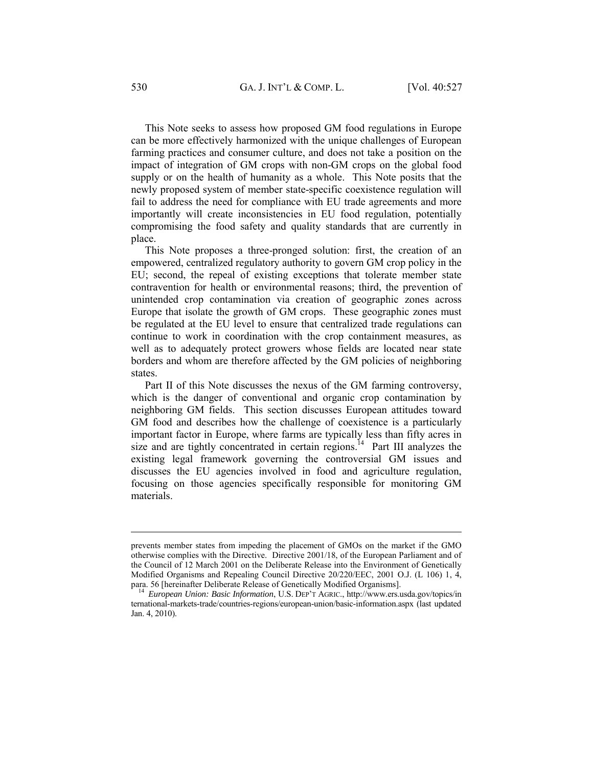This Note seeks to assess how proposed GM food regulations in Europe can be more effectively harmonized with the unique challenges of European farming practices and consumer culture, and does not take a position on the impact of integration of GM crops with non-GM crops on the global food supply or on the health of humanity as a whole. This Note posits that the newly proposed system of member state-specific coexistence regulation will fail to address the need for compliance with EU trade agreements and more importantly will create inconsistencies in EU food regulation, potentially compromising the food safety and quality standards that are currently in place.

This Note proposes a three-pronged solution: first, the creation of an empowered, centralized regulatory authority to govern GM crop policy in the EU; second, the repeal of existing exceptions that tolerate member state contravention for health or environmental reasons; third, the prevention of unintended crop contamination via creation of geographic zones across Europe that isolate the growth of GM crops. These geographic zones must be regulated at the EU level to ensure that centralized trade regulations can continue to work in coordination with the crop containment measures, as well as to adequately protect growers whose fields are located near state borders and whom are therefore affected by the GM policies of neighboring states.

Part II of this Note discusses the nexus of the GM farming controversy, which is the danger of conventional and organic crop contamination by neighboring GM fields. This section discusses European attitudes toward GM food and describes how the challenge of coexistence is a particularly important factor in Europe, where farms are typically less than fifty acres in size and are tightly concentrated in certain regions.<sup>14</sup> Part III analyzes the existing legal framework governing the controversial GM issues and discusses the EU agencies involved in food and agriculture regulation, focusing on those agencies specifically responsible for monitoring GM materials.

prevents member states from impeding the placement of GMOs on the market if the GMO otherwise complies with the Directive. Directive 2001/18, of the European Parliament and of the Council of 12 March 2001 on the Deliberate Release into the Environment of Genetically Modified Organisms and Repealing Council Directive 20/220/EEC, 2001 O.J. (L 106) 1, 4, para. 56 [hereinafter Deliberate Release of Genetically Modified Organisms]. 14 *European Union: Basic Information*, U.S. DEP'T AGRIC., http://www.ers.usda.gov/topics/in

ternational-markets-trade/countries-regions/european-union/basic-information.aspx (last updated Jan. 4, 2010).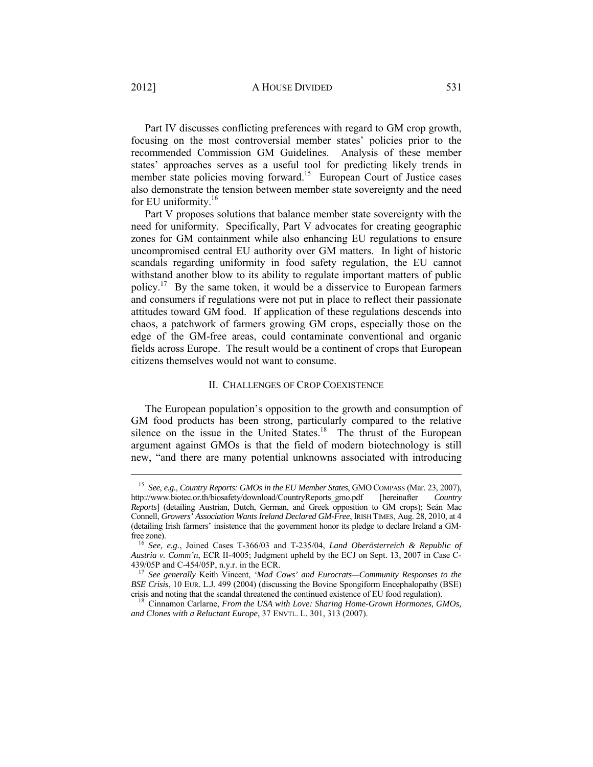Part IV discusses conflicting preferences with regard to GM crop growth, focusing on the most controversial member states' policies prior to the recommended Commission GM Guidelines. Analysis of these member states' approaches serves as a useful tool for predicting likely trends in member state policies moving forward.<sup>15</sup> European Court of Justice cases also demonstrate the tension between member state sovereignty and the need for EU uniformity.<sup>16</sup>

Part V proposes solutions that balance member state sovereignty with the need for uniformity. Specifically, Part V advocates for creating geographic zones for GM containment while also enhancing EU regulations to ensure uncompromised central EU authority over GM matters. In light of historic scandals regarding uniformity in food safety regulation, the EU cannot withstand another blow to its ability to regulate important matters of public policy.17 By the same token, it would be a disservice to European farmers and consumers if regulations were not put in place to reflect their passionate attitudes toward GM food. If application of these regulations descends into chaos, a patchwork of farmers growing GM crops, especially those on the edge of the GM-free areas, could contaminate conventional and organic fields across Europe. The result would be a continent of crops that European citizens themselves would not want to consume.

#### II. CHALLENGES OF CROP COEXISTENCE

The European population's opposition to the growth and consumption of GM food products has been strong, particularly compared to the relative silence on the issue in the United States.<sup>18</sup> The thrust of the European argument against GMOs is that the field of modern biotechnology is still new, "and there are many potential unknowns associated with introducing

<sup>&</sup>lt;sup>15</sup> *See, e.g., Country Reports: GMOs in the EU Member States, GMO COMPASS (Mar. 23, 2007),*<br>tp://www.biotec.or.th/biosafety/download/CountryReports gmo.pdf [hereinafter *Country* http://www.biotec.or.th/biosafety/download/CountryReports\_gmo.pdf [hereinafter *Country Reports*] (detailing Austrian, Dutch, German, and Greek opposition to GM crops); Seán Mac Connell, *Growers' Association Wants Ireland Declared GM-Free*, IRISH TIMES, Aug. 28, 2010, at 4 (detailing Irish farmers' insistence that the government honor its pledge to declare Ireland a GMfree zone). 16 *See, e.g.*, Joined Cases T-366/03 and T-235/04, *Land Oberösterreich & Republic of* 

*Austria v. Comm'n*, ECR II-4005; Judgment upheld by the ECJ on Sept. 13, 2007 in Case C-439/05P and C-454/05P, n.y.r. in the ECR. 17 *See generally* Keith Vincent, *'Mad Cows' and Eurocrats—Community Responses to the* 

*BSE Crisis*, 10 EUR. L.J. 499 (2004) (discussing the Bovine Spongiform Encephalopathy (BSE) crisis and noting that the scandal threatened the continued existence of EU food regulation).

<sup>&</sup>lt;sup>18</sup> Cinnamon Carlarne, *From the USA with Love: Sharing Home-Grown Hormones, GMOs, and Clones with a Reluctant Europe*, 37 ENVTL. L. 301, 313 (2007).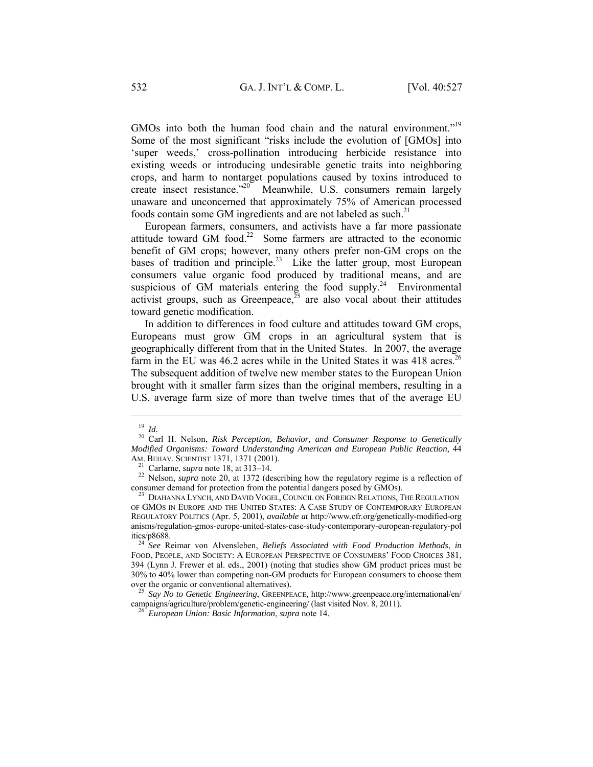GMOs into both the human food chain and the natural environment."<sup>19</sup> Some of the most significant "risks include the evolution of [GMOs] into 'super weeds,' cross-pollination introducing herbicide resistance into existing weeds or introducing undesirable genetic traits into neighboring crops, and harm to nontarget populations caused by toxins introduced to create insect resistance.<sup>220</sup> Meanwhile, U.S. consumers remain largely unaware and unconcerned that approximately 75% of American processed foods contain some GM ingredients and are not labeled as such. $^{21}$ 

European farmers, consumers, and activists have a far more passionate attitude toward GM food.<sup>22</sup> Some farmers are attracted to the economic benefit of GM crops; however, many others prefer non-GM crops on the bases of tradition and principle.<sup>23</sup> Like the latter group, most European consumers value organic food produced by traditional means, and are suspicious of GM materials entering the food supply.<sup>24</sup> Environmental activist groups, such as Greenpeace,  $\frac{35}{5}$  are also vocal about their attitudes toward genetic modification.

In addition to differences in food culture and attitudes toward GM crops, Europeans must grow GM crops in an agricultural system that is geographically different from that in the United States. In 2007, the average farm in the EU was  $46.2$  acres while in the United States it was  $418$  acres.<sup>26</sup> The subsequent addition of twelve new member states to the European Union brought with it smaller farm sizes than the original members, resulting in a U.S. average farm size of more than twelve times that of the average EU

<sup>19</sup> *Id.* 20 Carl H. Nelson, *Risk Perception, Behavior, and Consumer Response to Genetically Modified Organisms: Toward Understanding American and European Public Reaction*, 44 AM. BEHAV. SCIENTIST 1371, 1371 (2001).

<sup>&</sup>lt;sup>21</sup> Carlarne, *supra* note 18, at 313–14. <sup>22</sup> Nelson, *supra* note 20, at 1372 (describing how the regulatory regime is a reflection of consumer demand for protection from the potential dangers posed by GMOs). 23 DIAHANNA LYNCH, AND DAVID VOGEL, COUNCIL ON FOREIGN RELATIONS, THE REGULATION

OF GMOS IN EUROPE AND THE UNITED STATES: A CASE STUDY OF CONTEMPORARY EUROPEAN REGULATORY POLITICS (Apr. 5, 2001), *available at* http://www.cfr.org/genetically-modified-org anisms/regulation-gmos-europe-united-states-case-study-contemporary-european-regulatory-pol

<sup>&</sup>lt;sup>24</sup> See Reimar von Alvensleben, *Beliefs Associated with Food Production Methods*, *in* FOOD, PEOPLE, AND SOCIETY: A EUROPEAN PERSPECTIVE OF CONSUMERS' FOOD CHOICES 381, 394 (Lynn J. Frewer et al. eds., 2001) (noting that studies show GM product prices must be 30% to 40% lower than competing non-GM products for European consumers to choose them over the organic or conventional alternatives).<br><sup>25</sup> *Say No to Genetic Engineering*, GREENPEACE, http://www.greenpeace.org/international/en/

campaigns/agriculture/problem/genetic-engineering/ (last visited Nov. 8, 2011). 26 *European Union: Basic Information*, *supra* note 14.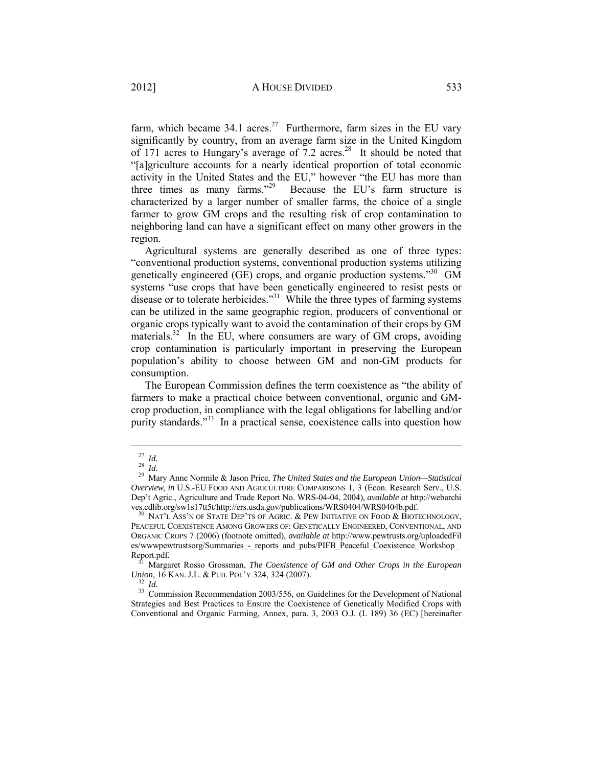farm, which became  $34.1$  acres.<sup>27</sup> Furthermore, farm sizes in the EU vary significantly by country, from an average farm size in the United Kingdom of 171 acres to Hungary's average of 7.2 acres.<sup>28</sup> It should be noted that "[a]griculture accounts for a nearly identical proportion of total economic activity in the United States and the EU," however "the EU has more than three times as many farms."29 Because the EU's farm structure is characterized by a larger number of smaller farms, the choice of a single farmer to grow GM crops and the resulting risk of crop contamination to neighboring land can have a significant effect on many other growers in the region.

Agricultural systems are generally described as one of three types: "conventional production systems, conventional production systems utilizing genetically engineered (GE) crops, and organic production systems."30 GM systems "use crops that have been genetically engineered to resist pests or disease or to tolerate herbicides."<sup>31</sup> While the three types of farming systems can be utilized in the same geographic region, producers of conventional or organic crops typically want to avoid the contamination of their crops by GM materials. $32$  In the EU, where consumers are wary of GM crops, avoiding crop contamination is particularly important in preserving the European population's ability to choose between GM and non-GM products for consumption.

The European Commission defines the term coexistence as "the ability of farmers to make a practical choice between conventional, organic and GMcrop production, in compliance with the legal obligations for labelling and/or purity standards."<sup>33</sup> In a practical sense, coexistence calls into question how

<sup>27</sup> *Id.* <sup>28</sup> *Id.* 29 Mary Anne Normile & Jason Price, *The United States and the European Union—Statistical Overview*, *in* U.S.-EU FOOD AND AGRICULTURE COMPARISONS 1, 3 (Econ. Research Serv., U.S. Dep't Agric., Agriculture and Trade Report No. WRS-04-04, 2004), *available at* http://webarchi ves.cdlib.org/sw1s17tt5t/http://ers.usda.gov/publications/WRS0404/WRS0404b.pdf. <sup>30</sup> NAT'L Ass'N OF STATE DEP'TS OF AGRIC. & PEW INITIATIVE ON FOOD & BIOTECHNOLOGY,

PEACEFUL COEXISTENCE AMONG GROWERS OF: GENETICALLY ENGINEERED, CONVENTIONAL, AND ORGANIC CROPS 7 (2006) (footnote omitted), *available at* http://www.pewtrusts.org/uploadedFil es/wwwpewtrustsorg/Summaries - reports and pubs/PIFB\_Peaceful\_Coexistence\_Workshop

Report.pdf. <sup>31</sup> Margaret Rosso Grossman, *The Coexistence of GM and Other Crops in the European Union*, 16 KAN. J.L. & PUB. POL'Y 324, 324 (2007).

<sup>&</sup>lt;sup>32</sup> *Id. Union*, 3<sup>3</sup> Commission Recommendation 2003/556, on Guidelines for the Development of National Strategies and Best Practices to Ensure the Coexistence of Genetically Modified Crops with Conventional and Organic Farming, Annex, para. 3, 2003 O.J. (L 189) 36 (EC) [hereinafter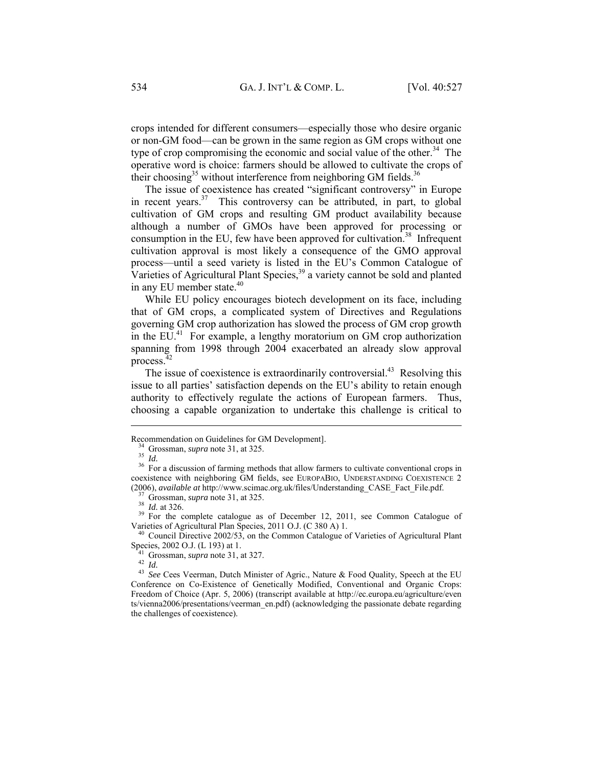crops intended for different consumers—especially those who desire organic or non-GM food—can be grown in the same region as GM crops without one type of crop compromising the economic and social value of the other.<sup>34</sup> The operative word is choice: farmers should be allowed to cultivate the crops of their choosing<sup>35</sup> without interference from neighboring GM fields.<sup>36</sup>

The issue of coexistence has created "significant controversy" in Europe in recent years. $37$  This controversy can be attributed, in part, to global cultivation of GM crops and resulting GM product availability because although a number of GMOs have been approved for processing or consumption in the EU, few have been approved for cultivation.<sup>38</sup> Infrequent cultivation approval is most likely a consequence of the GMO approval process—until a seed variety is listed in the EU's Common Catalogue of Varieties of Agricultural Plant Species,<sup>39</sup> a variety cannot be sold and planted in any EU member state.<sup>40</sup>

While EU policy encourages biotech development on its face, including that of GM crops, a complicated system of Directives and Regulations governing GM crop authorization has slowed the process of GM crop growth in the EU.<sup>41</sup> For example, a lengthy moratorium on GM crop authorization spanning from 1998 through 2004 exacerbated an already slow approval process.

The issue of coexistence is extraordinarily controversial.<sup>43</sup> Resolving this issue to all parties' satisfaction depends on the EU's ability to retain enough authority to effectively regulate the actions of European farmers. Thus, choosing a capable organization to undertake this challenge is critical to

 $\overline{a}$ 

 $^{40}$  Council Directive 2002/53, on the Common Catalogue of Varieties of Agricultural Plant Species, 2002 O.J. (L 193) at 1.<br>
<sup>41</sup> Grossman, *supra* note 31, at 327.<br>
<sup>42</sup> *Id.*<br>
<sup>43</sup> *See* Cees Veerman, Dutch Minister of Agric., Nature & Food Quality, Speech at the EU

Recommendation on Guidelines for GM Development].<br><sup>34</sup> Grossman, *supra* note 31, at 325.<br><sup>35</sup> *Id.* <sup>36</sup> For a discussion of farming methods that allow farmers to cultivate conventional crops in coexistence with neighboring GM fields, see EUROPABIO, UNDERSTANDING COEXISTENCE 2

<sup>(2006),</sup> *available at http://www.scimac.org.uk/files/Understanding\_CASE\_Fact\_File.pdf.*<br><sup>37</sup> Grossman, *supra* note 31, at 325.<br><sup>38</sup> *Id.* at 326.<br><sup>39</sup> For the complete catalogue as of December 12, 2011, see Common Catalo

Conference on Co-Existence of Genetically Modified, Conventional and Organic Crops: Freedom of Choice (Apr. 5, 2006) (transcript available at http://ec.europa.eu/agriculture/even ts/vienna2006/presentations/veerman\_en.pdf) (acknowledging the passionate debate regarding the challenges of coexistence).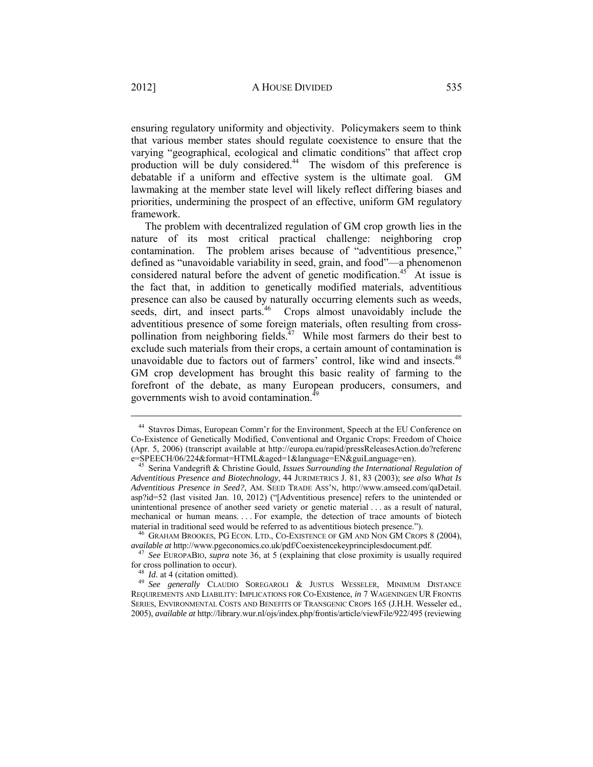ensuring regulatory uniformity and objectivity. Policymakers seem to think that various member states should regulate coexistence to ensure that the varying "geographical, ecological and climatic conditions" that affect crop production will be duly considered.<sup>44</sup> The wisdom of this preference is debatable if a uniform and effective system is the ultimate goal. GM lawmaking at the member state level will likely reflect differing biases and priorities, undermining the prospect of an effective, uniform GM regulatory framework.

The problem with decentralized regulation of GM crop growth lies in the nature of its most critical practical challenge: neighboring crop contamination. The problem arises because of "adventitious presence," defined as "unavoidable variability in seed, grain, and food"—a phenomenon considered natural before the advent of genetic modification.<sup>45</sup> At issue is the fact that, in addition to genetically modified materials, adventitious presence can also be caused by naturally occurring elements such as weeds, seeds, dirt, and insect parts.<sup>46</sup> Crops almost unavoidably include the adventitious presence of some foreign materials, often resulting from crosspollination from neighboring fields.<sup> $47$ </sup> While most farmers do their best to exclude such materials from their crops, a certain amount of contamination is unavoidable due to factors out of farmers' control, like wind and insects.<sup>48</sup> GM crop development has brought this basic reality of farming to the forefront of the debate, as many European producers, consumers, and governments wish to avoid contamination.<sup>4</sup>

<sup>44</sup> Stavros Dimas, European Comm'r for the Environment, Speech at the EU Conference on Co-Existence of Genetically Modified, Conventional and Organic Crops: Freedom of Choice (Apr. 5, 2006) (transcript available at http://europa.eu/rapid/pressReleasesAction.do?referenc

<sup>&</sup>lt;sup>45</sup> Serina Vandegrift & Christine Gould, *Issues Surrounding the International Regulation of Adventitious Presence and Biotechnology*, 44 JURIMETRICS J. 81, 83 (2003); *see also What Is Adventitious Presence in Seed?*, AM. SEED TRADE ASS'N, http://www.amseed.com/qaDetail. asp?id=52 (last visited Jan. 10, 2012) ("[Adventitious presence] refers to the unintended or unintentional presence of another seed variety or genetic material . . . as a result of natural, mechanical or human means. . . . For example, the detection of trace amounts of biotech

material in traditional seed would be referred to as adventitious biotech presence.").<br><sup>46</sup> GRAHAM BROOKES, PG ECON. LTD., CO-EXISTENCE OF GM AND NON GM CROPS 8 (2004),<br>*available at* http://www.pgeconomics.co.uk/pdf/Coexi

<sup>&</sup>lt;sup>47</sup> *See* EUROPABIO, *supra* note 36, at 5 (explaining that close proximity is usually required

for cross pollination to occur).<br><sup>48</sup> *Id.* at 4 (citation omitted).<br><sup>49</sup> *See generally* CLAUDIO SOREGAROLI & JUSTUS WESSELER, MINIMUM DISTANCE REQUIREMENTS AND LIABILITY: IMPLICATIONS FOR CO-EXIStence, *in* 7 WAGENINGEN UR FRONTIS SERIES, ENVIRONMENTAL COSTS AND BENEFITS OF TRANSGENIC CROPS 165 (J.H.H. Wesseler ed., 2005), *available at* http://library.wur.nl/ojs/index.php/frontis/article/viewFile/922/495 (reviewing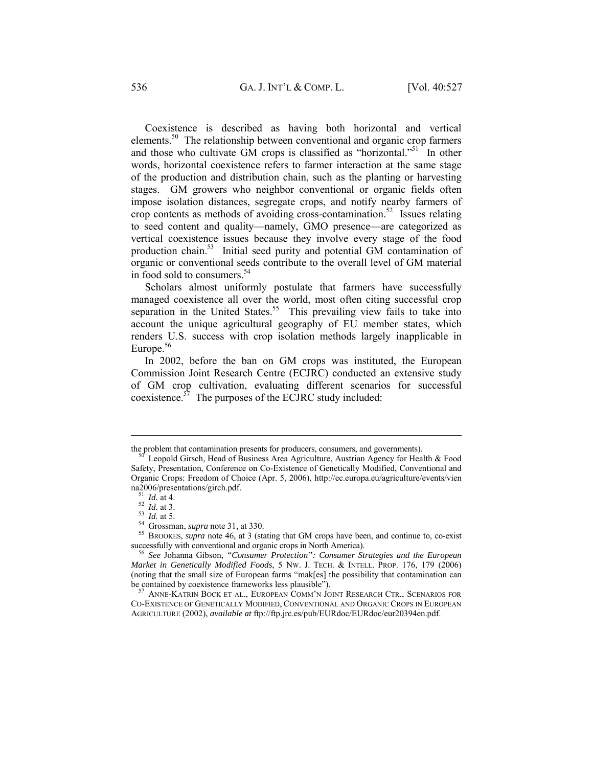Coexistence is described as having both horizontal and vertical elements.50 The relationship between conventional and organic crop farmers and those who cultivate GM crops is classified as "horizontal."<sup>51</sup> In other words, horizontal coexistence refers to farmer interaction at the same stage of the production and distribution chain, such as the planting or harvesting stages. GM growers who neighbor conventional or organic fields often impose isolation distances, segregate crops, and notify nearby farmers of crop contents as methods of avoiding cross-contamination.<sup>52</sup> Issues relating to seed content and quality—namely, GMO presence—are categorized as vertical coexistence issues because they involve every stage of the food production chain.<sup>53</sup> Initial seed purity and potential GM contamination of organic or conventional seeds contribute to the overall level of GM material in food sold to consumers.<sup>54</sup>

Scholars almost uniformly postulate that farmers have successfully managed coexistence all over the world, most often citing successful crop separation in the United States.<sup>55</sup> This prevailing view fails to take into account the unique agricultural geography of EU member states, which renders U.S. success with crop isolation methods largely inapplicable in Europe.<sup>56</sup>

In 2002, before the ban on GM crops was instituted, the European Commission Joint Research Centre (ECJRC) conducted an extensive study of GM crop cultivation, evaluating different scenarios for successful coexistence.57 The purposes of the ECJRC study included:

the problem that contamination presents for producers, consumers, and governments).<br><sup>50</sup> Leopold Girsch, Head of Business Area Agriculture, Austrian Agency for Health & Food

Safety, Presentation, Conference on Co-Existence of Genetically Modified, Conventional and Organic Crops: Freedom of Choice (Apr. 5, 2006), http://ec.europa.eu/agriculture/events/vien

ma2006/presentations/girch.pdf.<br>
<sup>51</sup> *Id.* at 4.<br>
<sup>52</sup> *Id.* at 4.<br>
<sup>52</sup> *Id.* at 3.<br>
<sup>53</sup> *Id.* at 5.<br>
<sup>54</sup> Grossman, *supra* note 31, at 330.<br>
<sup>55</sup> BROOKES, *supra* note 46, at 3 (stating that GM crops have been, and c

<sup>&</sup>lt;sup>56</sup> See Johanna Gibson, *"Consumer Protection": Consumer Strategies and the European Market in Genetically Modified Foods*, 5 NW. J. TECH. & INTELL. PROP. 176, 179 (2006) (noting that the small size of European farms "mak[es] the possibility that contamination can be contained by coexistence frameworks less plausible").<br><sup>57</sup> ANNE-KATRIN BOCK ET AL., EUROPEAN COMM'N JOINT RESEARCH CTR., SCENARIOS FOR

CO-EXISTENCE OF GENETICALLY MODIFIED, CONVENTIONAL AND ORGANIC CROPS IN EUROPEAN AGRICULTURE (2002), *available at* ftp://ftp.jrc.es/pub/EURdoc/EURdoc/eur20394en.pdf.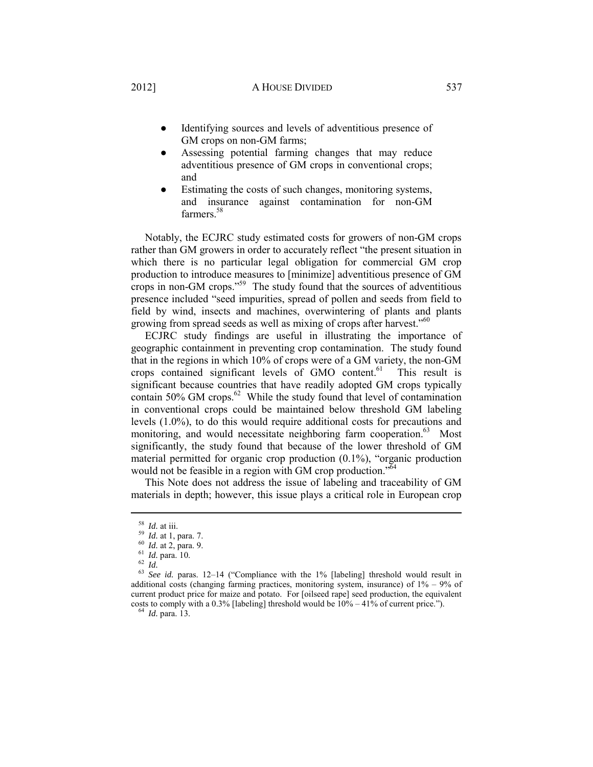# 2012] A HOUSE DIVIDED 537

- Identifying sources and levels of adventitious presence of GM crops on non-GM farms;
- Assessing potential farming changes that may reduce adventitious presence of GM crops in conventional crops; and
- Estimating the costs of such changes, monitoring systems, and insurance against contamination for non-GM farmers.<sup>58</sup>

Notably, the ECJRC study estimated costs for growers of non-GM crops rather than GM growers in order to accurately reflect "the present situation in which there is no particular legal obligation for commercial GM crop production to introduce measures to [minimize] adventitious presence of GM crops in non-GM crops."59 The study found that the sources of adventitious presence included "seed impurities, spread of pollen and seeds from field to field by wind, insects and machines, overwintering of plants and plants growing from spread seeds as well as mixing of crops after harvest."<sup>60</sup>

ECJRC study findings are useful in illustrating the importance of geographic containment in preventing crop contamination. The study found that in the regions in which 10% of crops were of a GM variety, the non-GM crops contained significant levels of GMO content.<sup>61</sup> This result is significant because countries that have readily adopted GM crops typically contain 50% GM crops.<sup>62</sup> While the study found that level of contamination in conventional crops could be maintained below threshold GM labeling levels (1.0%), to do this would require additional costs for precautions and monitoring, and would necessitate neighboring farm cooperation.<sup>63</sup> Most significantly, the study found that because of the lower threshold of GM material permitted for organic crop production (0.1%), "organic production would not be feasible in a region with GM crop production."<sup>64</sup>

This Note does not address the issue of labeling and traceability of GM materials in depth; however, this issue plays a critical role in European crop

 $\overline{a}$ 

58 *Id.* at iii.<br>
59 *Id.* at 1, para. 7.<br>
60 *Id.* at 2, para. 9.<br>
61 *Id.* para. 10.<br>
62 *Id.*<br>
63 *See id.* paras. 12–14 ("Compliance with the 1% [labeling] threshold would result in additional costs (changing farming practices, monitoring system, insurance) of  $1\% - 9\%$  of current product price for maize and potato. For [oilseed rape] seed production, the equivalent costs to comply with a 0.3% [labeling] threshold would be  $10\% - 41\%$  of current price."). <sup>64</sup> *Id.* para. 13.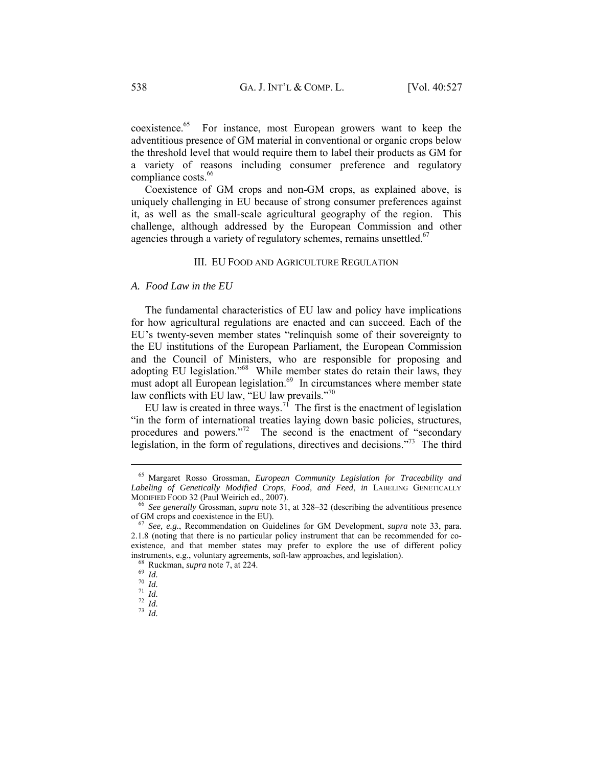coexistence.<sup>65</sup> For instance, most European growers want to keep the adventitious presence of GM material in conventional or organic crops below the threshold level that would require them to label their products as GM for a variety of reasons including consumer preference and regulatory compliance costs.<sup>66</sup>

Coexistence of GM crops and non-GM crops, as explained above, is uniquely challenging in EU because of strong consumer preferences against it, as well as the small-scale agricultural geography of the region. This challenge, although addressed by the European Commission and other agencies through a variety of regulatory schemes, remains unsettled. $67$ 

# III. EU FOOD AND AGRICULTURE REGULATION

#### *A. Food Law in the EU*

The fundamental characteristics of EU law and policy have implications for how agricultural regulations are enacted and can succeed. Each of the EU's twenty-seven member states "relinquish some of their sovereignty to the EU institutions of the European Parliament, the European Commission and the Council of Ministers, who are responsible for proposing and adopting EU legislation."<sup>68</sup> While member states do retain their laws, they must adopt all European legislation.<sup>69</sup> In circumstances where member state law conflicts with  $E\overline{U}$  law, "EU law prevails."<sup>70</sup>

EU law is created in three ways.<sup>71</sup> The first is the enactment of legislation "in the form of international treaties laying down basic policies, structures, procedures and powers."<sup>72</sup> The second is the enactment of "secondary" legislation, in the form of regulations, directives and decisions."73 The third

<sup>65</sup> Margaret Rosso Grossman, *European Community Legislation for Traceability and Labeling of Genetically Modified Crops, Food, and Feed*, *in* LABELING GENETICALLY

MODIFIED FOOD 32 (Paul Weirich ed., 2007).<br><sup>66</sup> *See generally* Grossman, *supra* note 31, at 328–32 (describing the adventitious presence of GM crops and coexistence in the EU).

<sup>&</sup>lt;sup>67</sup> See, e.g., Recommendation on Guidelines for GM Development, *supra* note 33, para. 2.1.8 (noting that there is no particular policy instrument that can be recommended for coexistence, and that member states may prefer to explore the use of different policy instruments, e.g., voluntary agreements, soft-law approaches, and legislation).<br>
<sup>68</sup> Ruckman, *supra* note 7, at 224.<br>
<sup>70</sup> *Id.*<br>
<sup>71</sup> *Id.*<br>
<sup>72</sup> *Id.*<br>
<sup>72</sup> *Id.*<br>
<sup>73</sup> *Id.*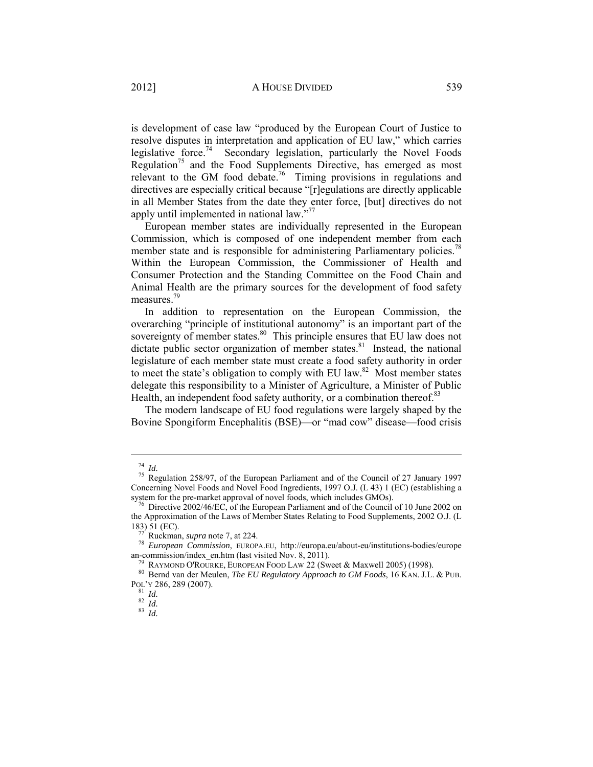is development of case law "produced by the European Court of Justice to resolve disputes in interpretation and application of EU law," which carries legislative force.<sup>74</sup> Secondary legislation, particularly the Novel Foods Regulation<sup>75</sup> and the Food Supplements Directive, has emerged as most relevant to the GM food debate.<sup>76</sup> Timing provisions in regulations and directives are especially critical because "[r]egulations are directly applicable in all Member States from the date they enter force, [but] directives do not apply until implemented in national law."<sup>77</sup>

European member states are individually represented in the European Commission, which is composed of one independent member from each member state and is responsible for administering Parliamentary policies.<sup>78</sup> Within the European Commission, the Commissioner of Health and Consumer Protection and the Standing Committee on the Food Chain and Animal Health are the primary sources for the development of food safety measures.79

In addition to representation on the European Commission, the overarching "principle of institutional autonomy" is an important part of the sovereignty of member states.<sup>80</sup> This principle ensures that EU law does not dictate public sector organization of member states. $81$  Instead, the national legislature of each member state must create a food safety authority in order to meet the state's obligation to comply with EU law. $82$  Most member states delegate this responsibility to a Minister of Agriculture, a Minister of Public Health, an independent food safety authority, or a combination thereof.<sup>83</sup>

The modern landscape of EU food regulations were largely shaped by the Bovine Spongiform Encephalitis (BSE)—or "mad cow" disease—food crisis

<sup>74</sup> *Id.* 75 Regulation 258/97, of the European Parliament and of the Council of 27 January 1997 Concerning Novel Foods and Novel Food Ingredients, 1997 O.J. (L 43) 1 (EC) (establishing a system for the pre-market approval of novel foods, which includes GMOs).

 $^{76}$  Directive 2002/46/EC, of the European Parliament and of the Council of 10 June 2002 on the Approximation of the Laws of Member States Relating to Food Supplements, 2002 O.J. (L

<sup>183) 51 (</sup>EC).<br><sup>77</sup> Ruckman, *supra* note 7, at 224.<br><sup>78</sup> *European Commission*, EUROPA.EU, http://europa.eu/about-eu/institutions-bodies/europe<br>an-commission/index en.htm (last visited Nov. 8, 2011).

<sup>&</sup>lt;sup>79</sup> RAYMOND O'ROURKE, EUROPEAN FOOD LAW 22 (Sweet & Maxwell 2005) (1998). <sup>80</sup> Bernd van der Meulen, *The EU Regulatory Approach to GM Foods*, 16 KAN. J.L. & PUB. POL'Y 286, 289 (2007). 81 *Id.* <sup>82</sup> *Id.* <sup>83</sup> *Id.*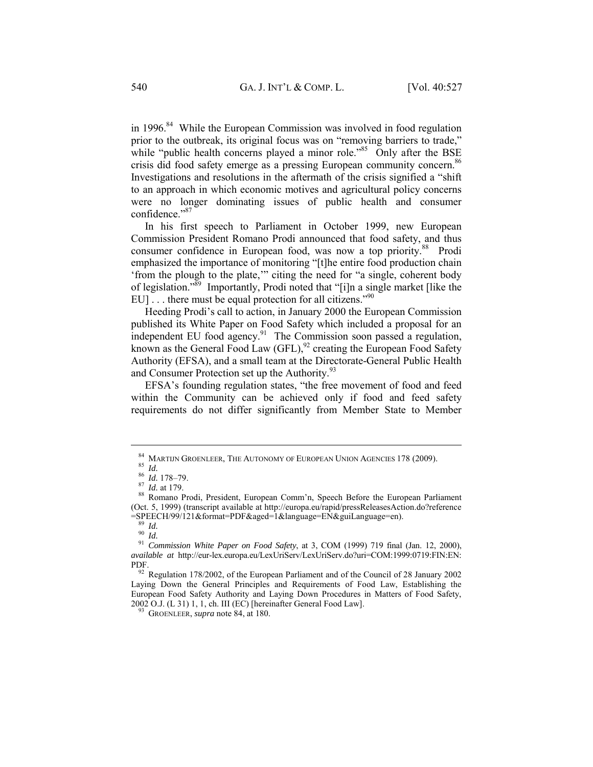in 1996. $84$  While the European Commission was involved in food regulation prior to the outbreak, its original focus was on "removing barriers to trade," while "public health concerns played a minor role."<sup>85</sup> Only after the BSE crisis did food safety emerge as a pressing European community concern.<sup>86</sup> Investigations and resolutions in the aftermath of the crisis signified a "shift to an approach in which economic motives and agricultural policy concerns were no longer dominating issues of public health and consumer confidence."87

In his first speech to Parliament in October 1999, new European Commission President Romano Prodi announced that food safety, and thus consumer confidence in European food, was now a top priority.<sup>88</sup> Prodi emphasized the importance of monitoring "[t]he entire food production chain 'from the plough to the plate,'" citing the need for "a single, coherent body of legislation."89 Importantly, Prodi noted that "[i]n a single market [like the EU] . . . there must be equal protection for all citizens."<sup>90</sup>

Heeding Prodi's call to action, in January 2000 the European Commission published its White Paper on Food Safety which included a proposal for an independent EU food agency.<sup>91</sup> The Commission soon passed a regulation, known as the General Food Law  $(GFL)$ ,<sup>92</sup> creating the European Food Safety Authority (EFSA), and a small team at the Directorate-General Public Health and Consumer Protection set up the Authority.<sup>93</sup>

EFSA's founding regulation states, "the free movement of food and feed within the Community can be achieved only if food and feed safety requirements do not differ significantly from Member State to Member

<sup>84</sup> MARTIJN GROENLEER, THE AUTONOMY OF EUROPEAN UNION AGENCIES 178 (2009).<br><sup>85</sup> *Id.* 86 *Id.* 178–79.<br><sup>87</sup> *Id.* at 179.<br><sup>88</sup> Romano Prodi, President, European Comm'n, Speech Before the European Parliament

<sup>(</sup>Oct. 5, 1999) (transcript available at http://europa.eu/rapid/pressReleasesAction.do?reference = SPEECH/99/121&format=PDF&aged=1&language=EN&guiLanguage=en).

<sup>=</sup>SPEECH/99/121&format=PDF&aged=1&language=EN&guiLanguage=en). 89 *Id.* <sup>90</sup> *Id.* <sup>91</sup> *Commission White Paper on Food Safety*, at 3, COM (1999) 719 final (Jan. 12, 2000), *available at* http://eur-lex.europa.eu/LexUriServ/LexUriServ.do?uri=COM:1999:0719:FIN:EN: PDF. 92 Regulation 178/2002, of the European Parliament and of the Council of 28 January 2002

Laying Down the General Principles and Requirements of Food Law, Establishing the European Food Safety Authority and Laying Down Procedures in Matters of Food Safety, 2002 O.J. (L 31) 1, 1, ch. III (EC) [hereinafter General Food Law]. 93 GROENLEER, *supra* note 84, at 180.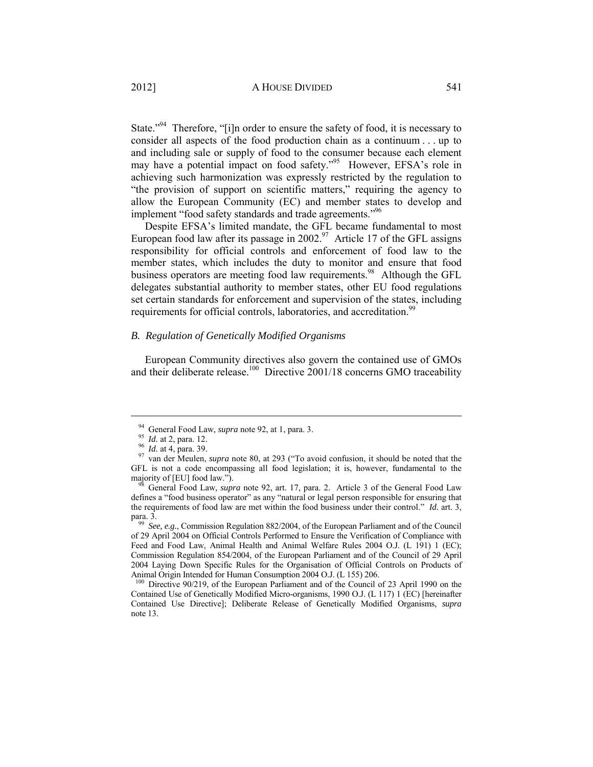State."<sup>94</sup> Therefore, "[i]n order to ensure the safety of food, it is necessary to consider all aspects of the food production chain as a continuum . . . up to and including sale or supply of food to the consumer because each element may have a potential impact on food safety."<sup>95</sup> However, EFSA's role in achieving such harmonization was expressly restricted by the regulation to "the provision of support on scientific matters," requiring the agency to allow the European Community (EC) and member states to develop and implement "food safety standards and trade agreements."<sup>96</sup>

Despite EFSA's limited mandate, the GFL became fundamental to most European food law after its passage in  $2002<sup>97</sup>$  Article 17 of the GFL assigns responsibility for official controls and enforcement of food law to the member states, which includes the duty to monitor and ensure that food business operators are meeting food law requirements.<sup>98</sup> Although the GFL delegates substantial authority to member states, other EU food regulations set certain standards for enforcement and supervision of the states, including requirements for official controls, laboratories, and accreditation.<sup>99</sup>

# *B. Regulation of Genetically Modified Organisms*

European Community directives also govern the contained use of GMOs and their deliberate release.<sup>100</sup> Directive 2001/18 concerns GMO traceability

<sup>94</sup> General Food Law, *supra* note 92, at 1, para. 3.<br>
95 *Id.* at 2, para. 12.<br>
96 *Id.* at 4, para. 39.<br>
97 van der Meulen, *supra* note 80, at 293 ("To avoid confusion, it should be noted that the GFL is not a code encompassing all food legislation; it is, however, fundamental to the majority of [EU] food law.").<br><sup>98</sup> General Food Law, *supra* note 92, art. 17, para. 2. Article 3 of the General Food Law

defines a "food business operator" as any "natural or legal person responsible for ensuring that the requirements of food law are met within the food business under their control." *Id.* art. 3,

See, e.g., Commission Regulation 882/2004, of the European Parliament and of the Council of 29 April 2004 on Official Controls Performed to Ensure the Verification of Compliance with Feed and Food Law, Animal Health and Animal Welfare Rules 2004 O.J. (L 191) 1 (EC); Commission Regulation 854/2004, of the European Parliament and of the Council of 29 April 2004 Laying Down Specific Rules for the Organisation of Official Controls on Products of Animal Origin Intended for Human Consumption 2004 O.J. (L 155) 206.

<sup>&</sup>lt;sup>100</sup> Directive 90/219, of the European Parliament and of the Council of 23 April 1990 on the Contained Use of Genetically Modified Micro-organisms, 1990 O.J. (L 117) 1 (EC) [hereinafter Contained Use Directive]; Deliberate Release of Genetically Modified Organisms, *supra* note 13.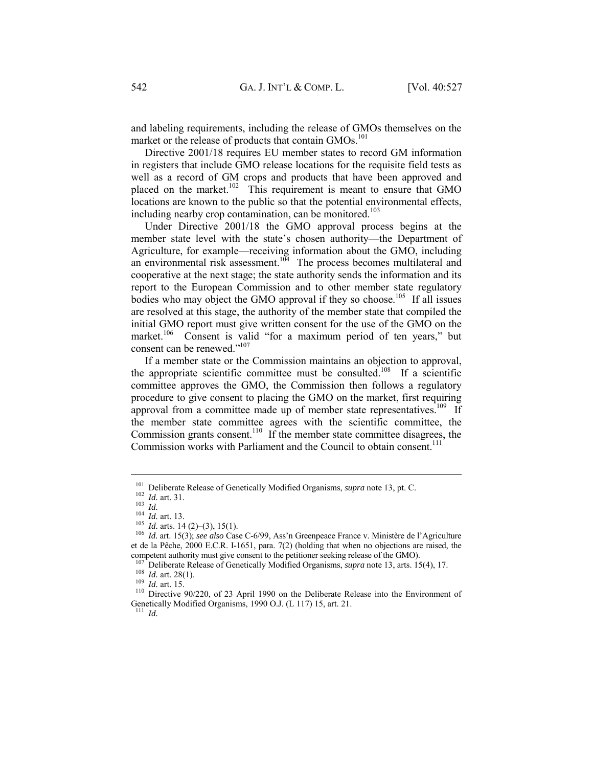and labeling requirements, including the release of GMOs themselves on the market or the release of products that contain GMOs.<sup>101</sup>

Directive 2001/18 requires EU member states to record GM information in registers that include GMO release locations for the requisite field tests as well as a record of GM crops and products that have been approved and placed on the market.<sup>102</sup> This requirement is meant to ensure that GMO locations are known to the public so that the potential environmental effects, including nearby crop contamination, can be monitored.<sup>103</sup>

Under Directive 2001/18 the GMO approval process begins at the member state level with the state's chosen authority—the Department of Agriculture, for example—receiving information about the GMO, including an environmental risk assessment.<sup>104</sup> The process becomes multilateral and cooperative at the next stage; the state authority sends the information and its report to the European Commission and to other member state regulatory bodies who may object the GMO approval if they so choose.<sup>105</sup> If all issues are resolved at this stage, the authority of the member state that compiled the initial GMO report must give written consent for the use of the GMO on the market.<sup>106</sup> Consent is valid "for a maximum period of ten years," but consent can be renewed."<sup>107</sup>

If a member state or the Commission maintains an objection to approval, the appropriate scientific committee must be consulted.108 If a scientific committee approves the GMO, the Commission then follows a regulatory procedure to give consent to placing the GMO on the market, first requiring approval from a committee made up of member state representatives.<sup>109</sup> If the member state committee agrees with the scientific committee, the Commission grants consent.<sup>110</sup> If the member state committee disagrees, the Commission works with Parliament and the Council to obtain consent.<sup>111</sup>

 $\overline{a}$ 

<sup>111</sup> *Id.*

<sup>&</sup>lt;sup>101</sup> Deliberate Release of Genetically Modified Organisms, *supra* note 13, pt. C.<br><sup>102</sup> *Id.* art. 31.<br><sup>103</sup> *Id. Id.* art. 13.<br><sup>104</sup> *Id.* arts. 14 (2)–(3), 15(1).<br><sup>105</sup> *Id.* arts. 14 (2)–(3), 15(1).<br><sup>106</sup> *Id.* art et de la Pêche, 2000 E.C.R. I-1651, para. 7(2) (holding that when no objections are raised, the competent authority must give consent to the petitioner seeking release of the GMO).

<sup>&</sup>lt;sup>107</sup> Deliberate Release of Genetically Modified Organisms, *supra* note 13, arts. 15(4), 17.<br><sup>108</sup> *Id.* art. 28(1).<br><sup>109</sup> *Id.* art. 15.<br><sup>110</sup> Directive 90/220, of 23 April 1990 on the Deliberate Release into the Enviro

Genetically Modified Organisms, 1990 O.J. (L 117) 15, art. 21.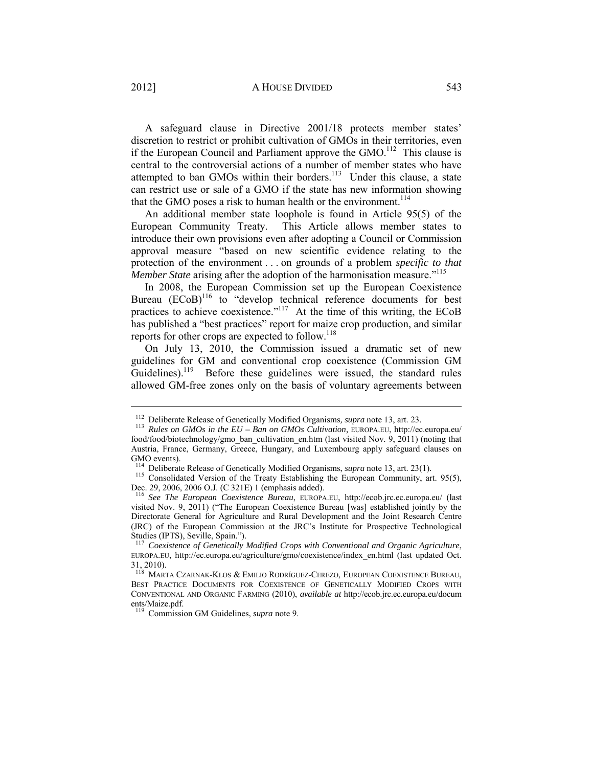A safeguard clause in Directive 2001/18 protects member states' discretion to restrict or prohibit cultivation of GMOs in their territories, even if the European Council and Parliament approve the  $GMO<sup>112</sup>$  This clause is central to the controversial actions of a number of member states who have attempted to ban GMOs within their borders.<sup>113</sup> Under this clause, a state can restrict use or sale of a GMO if the state has new information showing that the GMO poses a risk to human health or the environment.<sup>114</sup>

An additional member state loophole is found in Article 95(5) of the European Community Treaty. This Article allows member states to introduce their own provisions even after adopting a Council or Commission approval measure "based on new scientific evidence relating to the protection of the environment . . . on grounds of a problem *specific to that Member State* arising after the adoption of the harmonisation measure.<sup>"115</sup>

In 2008, the European Commission set up the European Coexistence Bureau  $(ECoB)^{116}$  to "develop technical reference documents for best practices to achieve coexistence."117 At the time of this writing, the ECoB has published a "best practices" report for maize crop production, and similar reports for other crops are expected to follow.<sup>118</sup>

On July 13, 2010, the Commission issued a dramatic set of new guidelines for GM and conventional crop coexistence (Commission GM Guidelines).<sup>119</sup> Before these guidelines were issued, the standard rules allowed GM-free zones only on the basis of voluntary agreements between

<sup>&</sup>lt;sup>112</sup> Deliberate Release of Genetically Modified Organisms, *supra* note 13, art. 23.<br><sup>113</sup> *Rules on GMOs in the EU – Ban on GMOs Cultivation*, EUROPA.EU, http://ec.europa.eu/ food/food/biotechnology/gmo\_ban\_cultivation\_en.htm (last visited Nov. 9, 2011) (noting that Austria, France, Germany, Greece, Hungary, and Luxembourg apply safeguard clauses on GMO events).<br><sup>114</sup> Deliberate Release of Genetically Modified Organisms, *supra* note 13, art. 23(1).

<sup>&</sup>lt;sup>115</sup> Consolidated Version of the Treaty Establishing the European Community, art. 95(5), Dec. 29, 2006, 2006 O.J. (C 321E) 1 (emphasis added).

<sup>116</sup> *See The European Coexistence Bureau*, EUROPA.EU, http://ecob.jrc.ec.europa.eu/ (last visited Nov. 9, 2011) ("The European Coexistence Bureau [was] established jointly by the Directorate General for Agriculture and Rural Development and the Joint Research Centre (JRC) of the European Commission at the JRC's Institute for Prospective Technological Studies (IPTS), Seville, Spain.").

<sup>117</sup> *Coexistence of Genetically Modified Crops with Conventional and Organic Agriculture*, EUROPA.EU, http://ec.europa.eu/agriculture/gmo/coexistence/index\_en.html (last updated Oct. 31, 2010).

<sup>&</sup>lt;sup>118</sup> MARTA CZARNAK-KLOS & EMILIO RODRÍGUEZ-CEREZO, EUROPEAN COEXISTENCE BUREAU, BEST PRACTICE DOCUMENTS FOR COEXISTENCE OF GENETICALLY MODIFIED CROPS WITH CONVENTIONAL AND ORGANIC FARMING (2010), *available at* http://ecob.jrc.ec.europa.eu/docum ents/Maize.pdf.

<sup>119</sup> Commission GM Guidelines, *supra* note 9.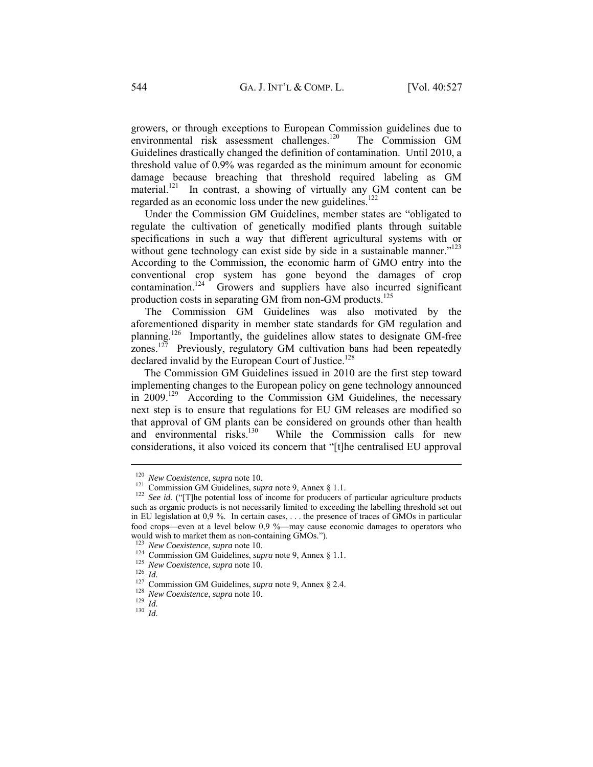growers, or through exceptions to European Commission guidelines due to environmental risk assessment challenges.<sup>120</sup> The Commission GM Guidelines drastically changed the definition of contamination. Until 2010, a threshold value of 0.9% was regarded as the minimum amount for economic damage because breaching that threshold required labeling as GM material.<sup>121</sup> In contrast, a showing of virtually any GM content can be regarded as an economic loss under the new guidelines.<sup>122</sup>

Under the Commission GM Guidelines, member states are "obligated to regulate the cultivation of genetically modified plants through suitable specifications in such a way that different agricultural systems with or without gene technology can exist side by side in a sustainable manner."<sup>123</sup> According to the Commission, the economic harm of GMO entry into the conventional crop system has gone beyond the damages of crop  $contamination.<sup>124</sup>$  Growers and suppliers have also incurred significant production costs in separating GM from non-GM products.<sup>125</sup>

The Commission GM Guidelines was also motivated by the aforementioned disparity in member state standards for GM regulation and planning.<sup>126</sup> Importantly, the guidelines allow states to designate GM-free zones.<sup>127</sup> Previously, regulatory GM cultivation bans had been repeatedly declared invalid by the European Court of Justice.<sup>128</sup>

The Commission GM Guidelines issued in 2010 are the first step toward implementing changes to the European policy on gene technology announced in  $2009$ <sup>129</sup> According to the Commission GM Guidelines, the necessary next step is to ensure that regulations for EU GM releases are modified so that approval of GM plants can be considered on grounds other than health and environmental risks.<sup>130</sup> While the Commission calls for new While the Commission calls for new considerations, it also voiced its concern that "[t]he centralised EU approval

<sup>&</sup>lt;sup>120</sup> *New Coexistence*, *supra* note 10.<br><sup>121</sup> Commission GM Guidelines, *supra* note 9, Annex § 1.1.<br><sup>122</sup> *See id.* ("[T]he potential loss of income for producers of particular agriculture products such as organic products is not necessarily limited to exceeding the labelling threshold set out in EU legislation at 0,9 %. In certain cases, . . . the presence of traces of GMOs in particular food crops—even at a level below 0,9 %—may cause economic damages to operators who would wish to market them as non-containing GMOs.").<br><sup>123</sup> New Coexistence, supra note 10.

<sup>&</sup>lt;sup>124</sup> Commission GM Guidelines, *supra* note 9, Annex § 1.1.<br><sup>125</sup> *New Coexistence, supra* note 10.<br><sup>126</sup> *Id.*<br><sup>127</sup> Commission GM Guidelines, *supra* note 9, Annex § 2.4.<br><sup>128</sup> *New Coexistence, supra* note 10.<br><sup>129</sup>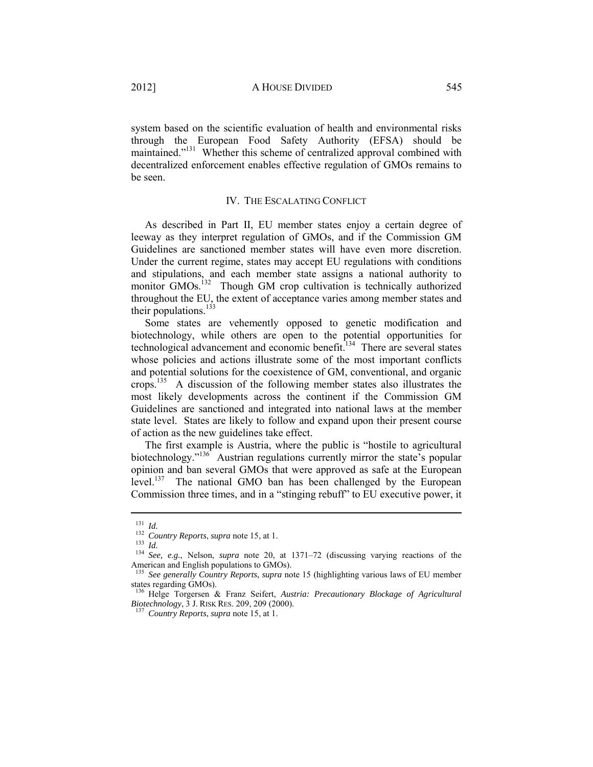system based on the scientific evaluation of health and environmental risks through the European Food Safety Authority (EFSA) should be maintained."<sup>131</sup> Whether this scheme of centralized approval combined with decentralized enforcement enables effective regulation of GMOs remains to be seen.

# IV. THE ESCALATING CONFLICT

As described in Part II, EU member states enjoy a certain degree of leeway as they interpret regulation of GMOs, and if the Commission GM Guidelines are sanctioned member states will have even more discretion. Under the current regime, states may accept EU regulations with conditions and stipulations, and each member state assigns a national authority to monitor GMOs.<sup>132</sup> Though GM crop cultivation is technically authorized throughout the EU, the extent of acceptance varies among member states and their populations.<sup>133</sup>

Some states are vehemently opposed to genetic modification and biotechnology, while others are open to the potential opportunities for technological advancement and economic benefit.<sup>134</sup> There are several states whose policies and actions illustrate some of the most important conflicts and potential solutions for the coexistence of GM, conventional, and organic crops.135 A discussion of the following member states also illustrates the most likely developments across the continent if the Commission GM Guidelines are sanctioned and integrated into national laws at the member state level. States are likely to follow and expand upon their present course of action as the new guidelines take effect.

The first example is Austria, where the public is "hostile to agricultural biotechnology."<sup>136</sup> Austrian regulations currently mirror the state's popular opinion and ban several GMOs that were approved as safe at the European level.137 The national GMO ban has been challenged by the European Commission three times, and in a "stinging rebuff" to EU executive power, it

<sup>131</sup> *Id. Country Reports, supra* note 15, at 1.<br>
<sup>133</sup> *Id. Isa Id. See, e.g.*, Nelson, *supra* note 20, at 1371–72 (discussing varying reactions of the American and English populations to GMOs).

<sup>135</sup> *See generally Country Reports*, *supra* note 15 (highlighting various laws of EU member states regarding GMOs).

<sup>136</sup> Helge Torgersen & Franz Seifert, *Austria: Precautionary Blockage of Agricultural* 

<sup>&</sup>lt;sup>137</sup> Country Reports, *supra* note 15, at 1.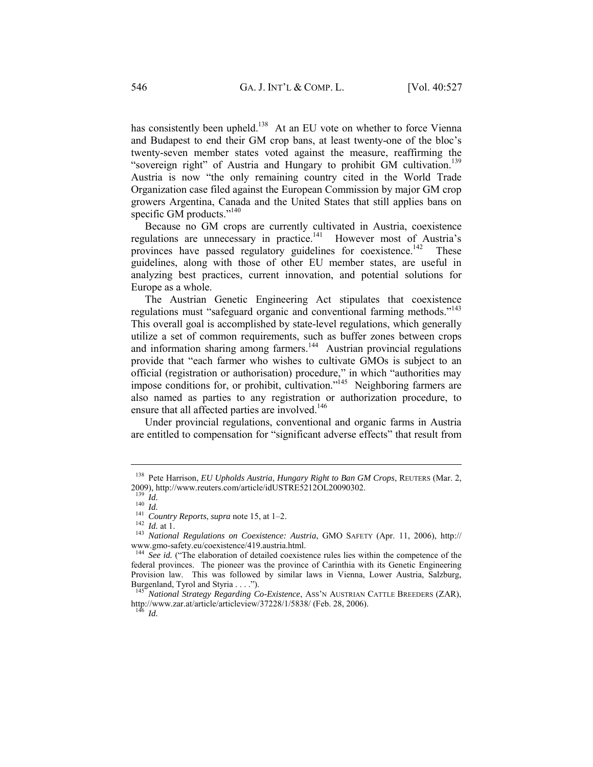has consistently been upheld.<sup>138</sup> At an EU vote on whether to force Vienna and Budapest to end their GM crop bans, at least twenty-one of the bloc's twenty-seven member states voted against the measure, reaffirming the "sovereign right" of Austria and Hungary to prohibit GM cultivation.<sup>139</sup> Austria is now "the only remaining country cited in the World Trade Organization case filed against the European Commission by major GM crop growers Argentina, Canada and the United States that still applies bans on specific GM products." $140$ 

Because no GM crops are currently cultivated in Austria, coexistence regulations are unnecessary in practice.<sup>141</sup> However most of Austria's provinces have passed regulatory guidelines for coexistence.<sup>142</sup> These guidelines, along with those of other EU member states, are useful in analyzing best practices, current innovation, and potential solutions for Europe as a whole.

The Austrian Genetic Engineering Act stipulates that coexistence regulations must "safeguard organic and conventional farming methods."<sup>143</sup> This overall goal is accomplished by state-level regulations, which generally utilize a set of common requirements, such as buffer zones between crops and information sharing among farmers.<sup>144</sup> Austrian provincial regulations provide that "each farmer who wishes to cultivate GMOs is subject to an official (registration or authorisation) procedure," in which "authorities may impose conditions for, or prohibit, cultivation."<sup>145</sup> Neighboring farmers are also named as parties to any registration or authorization procedure, to ensure that all affected parties are involved.<sup>146</sup>

Under provincial regulations, conventional and organic farms in Austria are entitled to compensation for "significant adverse effects" that result from

<sup>&</sup>lt;sup>138</sup> Pete Harrison, *EU Upholds Austria, Hungary Right to Ban GM Crops*, REUTERS (Mar. 2, 2009), http://www.reuters.com/article/idUSTRE5212OL20090302.<br>
<sup>139</sup> Id.

<sup>139</sup> *Id.* <sup>140</sup> *Id.*<sup>141</sup> *Country Reports*, *supra* note 15, at 1–2. 142 *Id.* at 1. 143 *National Regulations on Coexistence: Austria*, GMO SAFETY (Apr. 11, 2006), http:// www.gmo-safety.eu/coexistence/419.austria.html.

<sup>&</sup>lt;sup>144</sup> See id. ("The elaboration of detailed coexistence rules lies within the competence of the federal provinces. The pioneer was the province of Carinthia with its Genetic Engineering Provision law. This was followed by similar laws in Vienna, Lower Austria, Salzburg, Burgenland, Tyrol and Styria . . . .").

*National Strategy Regarding Co-Existence, ASS'N AUSTRIAN CATTLE BREEDERS (ZAR),* http://www.zar.at/article/articleview/37228/1/5838/ (Feb. 28, 2006).

*Id.*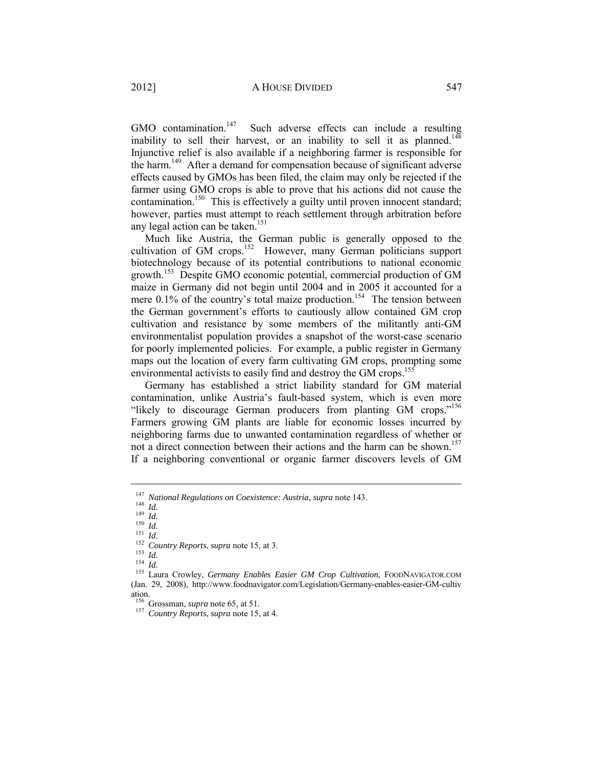GMO contamination.<sup>147</sup> Such adverse effects can include a resulting inability to sell their harvest, or an inability to sell it as planned.<sup>148</sup> Injunctive relief is also available if a neighboring farmer is responsible for the harm.<sup>149</sup> After a demand for compensation because of significant adverse effects caused by GMOs has been filed, the claim may only be rejected if the farmer using GMO crops is able to prove that his actions did not cause the contamination.<sup>150</sup> This is effectively a guilty until proven innocent standard; however, parties must attempt to reach settlement through arbitration before any legal action can be taken.<sup>151</sup>

Much like Austria, the German public is generally opposed to the cultivation of GM crops.<sup>152</sup> However, many German politicians support biotechnology because of its potential contributions to national economic growth.153 Despite GMO economic potential, commercial production of GM maize in Germany did not begin until 2004 and in 2005 it accounted for a mere  $0.1\%$  of the country's total maize production.<sup>154</sup> The tension between the German government's efforts to cautiously allow contained GM crop cultivation and resistance by some members of the militantly anti-GM environmentalist population provides a snapshot of the worst-case scenario for poorly implemented policies. For example, a public register in Germany maps out the location of every farm cultivating GM crops, prompting some environmental activists to easily find and destroy the GM crops.<sup>155</sup>

Germany has established a strict liability standard for GM material contamination, unlike Austria's fault-based system, which is even more "likely to discourage German producers from planting GM crops."<sup>156</sup> Farmers growing GM plants are liable for economic losses incurred by neighboring farms due to unwanted contamination regardless of whether or not a direct connection between their actions and the harm can be shown.<sup>157</sup> If a neighboring conventional or organic farmer discovers levels of GM

<sup>&</sup>lt;sup>147</sup> National Regulations on Coexistence: Austria, supra note 143.<br>
<sup>148</sup> Id.<br>
<sup>149</sup> Id.<br>
<sup>150</sup> Id.<br>
<sup>151</sup> Id.<br>
<sup>151</sup> Id.<br>
<sup>152</sup> Country Reports, supra note 15, at 3.<br>
<sup>153</sup> Id.<br>
<sup>152</sup> Id.<br>
<sup>153</sup> Id.<br>
<sup>154</sup> Id.<br>
<sup>154</sup> Id (Jan. 29, 2008), http://www.foodnavigator.com/Legislation/Germany-enables-easier-GM-cultiv ation.<br><sup>156</sup> Grossman, *supra* note 65, at 51.

<sup>&</sup>lt;sup>157</sup> Country Reports, *supra* note 15, at 4.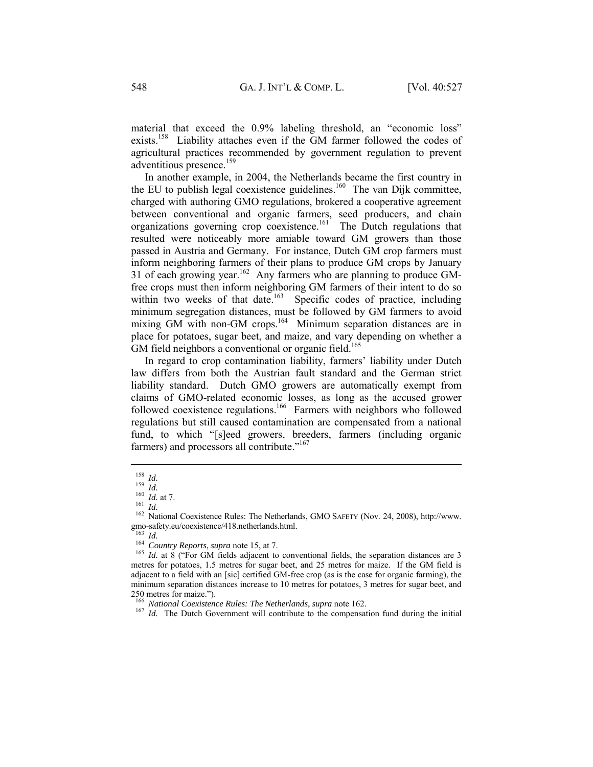material that exceed the 0.9% labeling threshold, an "economic loss" exists.<sup>158</sup> Liability attaches even if the GM farmer followed the codes of agricultural practices recommended by government regulation to prevent adventitious presence.<sup>159</sup>

In another example, in 2004, the Netherlands became the first country in the EU to publish legal coexistence guidelines.<sup>160</sup> The van Dijk committee, charged with authoring GMO regulations, brokered a cooperative agreement between conventional and organic farmers, seed producers, and chain organizations governing crop coexistence.161 The Dutch regulations that resulted were noticeably more amiable toward GM growers than those passed in Austria and Germany. For instance, Dutch GM crop farmers must inform neighboring farmers of their plans to produce GM crops by January 31 of each growing year.<sup>162</sup> Any farmers who are planning to produce GMfree crops must then inform neighboring GM farmers of their intent to do so within two weeks of that date.<sup>163</sup> Specific codes of practice, including minimum segregation distances, must be followed by GM farmers to avoid mixing GM with non-GM crops.<sup>164</sup> Minimum separation distances are in place for potatoes, sugar beet, and maize, and vary depending on whether a GM field neighbors a conventional or organic field.<sup>165</sup>

In regard to crop contamination liability, farmers' liability under Dutch law differs from both the Austrian fault standard and the German strict liability standard. Dutch GMO growers are automatically exempt from claims of GMO-related economic losses, as long as the accused grower followed coexistence regulations.<sup>166</sup> Farmers with neighbors who followed regulations but still caused contamination are compensated from a national fund, to which "[s]eed growers, breeders, farmers (including organic farmers) and processors all contribute."<sup>167</sup>

<sup>&</sup>lt;sup>158</sup> *Id.*<br><sup>159</sup> *Id.*<br><sup>160</sup> *Id.* at 7.<br><sup>161</sup> *Id.*<br><sup>162</sup> National Coexistence Rules: The Netherlands, GMO SAFETY (Nov. 24, 2008), http://www. gmo-safety.eu/coexistence/418.netherlands.html.<br> $^{163}$   $_{Id}$ 

<sup>&</sup>lt;sup>164</sup> *Country Reports, supra* note 15, at 7.<br><sup>165</sup> *Id.* at 8 ("For GM fields adjacent to conventional fields, the separation distances are 3 metres for potatoes, 1.5 metres for sugar beet, and 25 metres for maize. If the GM field is adjacent to a field with an [sic] certified GM-free crop (as is the case for organic farming), the minimum separation distances increase to 10 metres for potatoes, 3 metres for sugar beet, and 250 metres for maize.").<br><sup>166</sup> National Coexistence Rules: The Netherlands, supra note 162.

<sup>&</sup>lt;sup>167</sup> *Id.* The Dutch Government will contribute to the compensation fund during the initial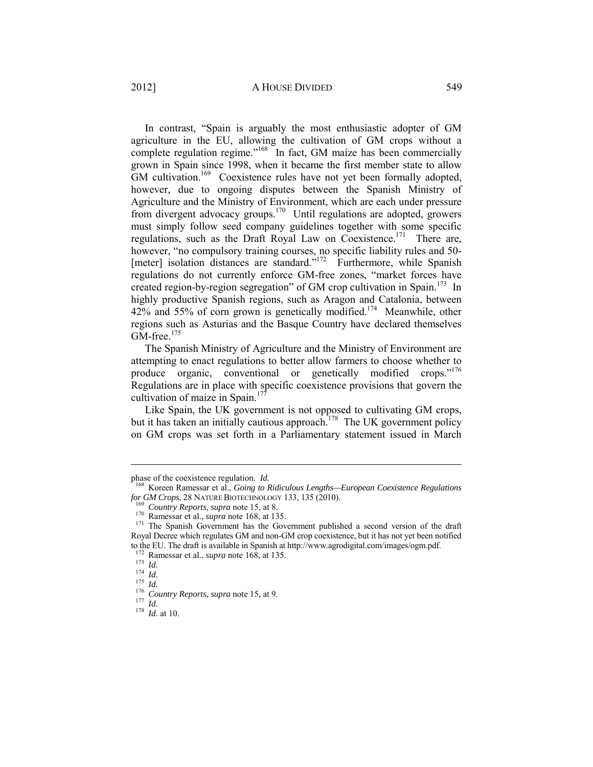# 2012] A HOUSE DIVIDED 549

In contrast, "Spain is arguably the most enthusiastic adopter of GM agriculture in the EU, allowing the cultivation of GM crops without a complete regulation regime."<sup>168</sup> In fact, GM maize has been commercially grown in Spain since 1998, when it became the first member state to allow GM cultivation.<sup>169</sup> Coexistence rules have not yet been formally adopted, however, due to ongoing disputes between the Spanish Ministry of Agriculture and the Ministry of Environment, which are each under pressure from divergent advocacy groups.170 Until regulations are adopted, growers must simply follow seed company guidelines together with some specific regulations, such as the Draft Royal Law on Coexistence.<sup>171</sup> There are, however, "no compulsory training courses, no specific liability rules and 50- [meter] isolation distances are standard."<sup>172</sup> Furthermore, while Spanish regulations do not currently enforce GM-free zones, "market forces have created region-by-region segregation" of GM crop cultivation in Spain.<sup>173</sup> In highly productive Spanish regions, such as Aragon and Catalonia, between 42% and 55% of corn grown is genetically modified.174 Meanwhile, other regions such as Asturias and the Basque Country have declared themselves  $GM$ -free.<sup>175</sup>

The Spanish Ministry of Agriculture and the Ministry of Environment are attempting to enact regulations to better allow farmers to choose whether to produce organic, conventional or genetically modified crops."<sup>176</sup> Regulations are in place with specific coexistence provisions that govern the cultivation of maize in Spain.<sup>17</sup>

Like Spain, the UK government is not opposed to cultivating GM crops, but it has taken an initially cautious approach.<sup>178</sup> The UK government policy on GM crops was set forth in a Parliamentary statement issued in March

phase of the coexistence regulation. *Id.* <sup>168</sup> Koreen Ramessar et al., *Going to Ridiculous Lengths—European Coexistence Regulations for GM Crops*, 28 NATURE BIOTECHNOLOGY 133, 135 (2010).

<sup>&</sup>lt;sup>169</sup> Country Reports, supra note 15, at 8.<br><sup>170</sup> Ramessar et al., *supra* note 168, at 135.<br><sup>171</sup> The Spanish Government has the Government published a second version of the draft Royal Decree which regulates GM and non-GM crop coexistence, but it has not yet been notified to the EU. The draft is available in Spanish at http://www.agrodigital.com/images/ogm.pdf.  $172$  Ramessar et al., *supra* note 168, at 135.

<sup>173</sup> *Id.*<br>
173 *Id.*<br>
175 *Id.*<br>
176 *Country Reports, supra* note 15, at 9.<br>
177 *Id.*<br>
178 *Id.* at 10.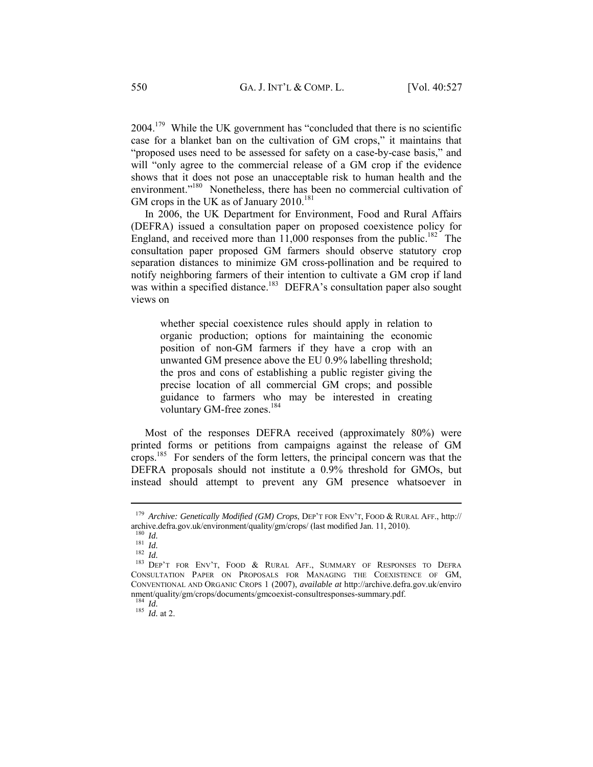$2004$ <sup>179</sup> While the UK government has "concluded that there is no scientific case for a blanket ban on the cultivation of GM crops," it maintains that "proposed uses need to be assessed for safety on a case-by-case basis," and will "only agree to the commercial release of a GM crop if the evidence shows that it does not pose an unacceptable risk to human health and the environment."<sup>180</sup> Nonetheless, there has been no commercial cultivation of GM crops in the UK as of January  $2010^{181}$ 

In 2006, the UK Department for Environment, Food and Rural Affairs (DEFRA) issued a consultation paper on proposed coexistence policy for England, and received more than  $11,000$  responses from the public.<sup>182</sup> The consultation paper proposed GM farmers should observe statutory crop separation distances to minimize GM cross-pollination and be required to notify neighboring farmers of their intention to cultivate a GM crop if land was within a specified distance.<sup>183</sup> DEFRA's consultation paper also sought views on

whether special coexistence rules should apply in relation to organic production; options for maintaining the economic position of non-GM farmers if they have a crop with an unwanted GM presence above the EU 0.9% labelling threshold; the pros and cons of establishing a public register giving the precise location of all commercial GM crops; and possible guidance to farmers who may be interested in creating voluntary GM-free zones.<sup>184</sup>

Most of the responses DEFRA received (approximately 80%) were printed forms or petitions from campaigns against the release of GM crops.185 For senders of the form letters, the principal concern was that the DEFRA proposals should not institute a 0.9% threshold for GMOs, but instead should attempt to prevent any GM presence whatsoever in

 $\overline{a}$ 

 $\frac{184}{185}$  *Id.* at 2.

<sup>&</sup>lt;sup>179</sup> *Archive: Genetically Modified (GM) Crops*, DEP'T FOR ENV'T, FOOD & RURAL AFF., http://<br>archive.defra.gov.uk/environment/quality/gm/crops/ (last modified Jan. 11, 2010).

archive.defra.gov.uk/environment/auto-crops/ (a) and *Id.* 181 *Id.* 182 *Id.* 183 *Id.* 183 Dep't for Env't, Food & Rural Aff., Summary of Responses to Defra CONSULTATION PAPER ON PROPOSALS FOR MANAGING THE COEXISTENCE OF GM, CONVENTIONAL AND ORGANIC CROPS 1 (2007), *available at* http://archive.defra.gov.uk/enviro nment/quality/gm/crops/documents/gmcoexist-consultresponses-summary.pdf.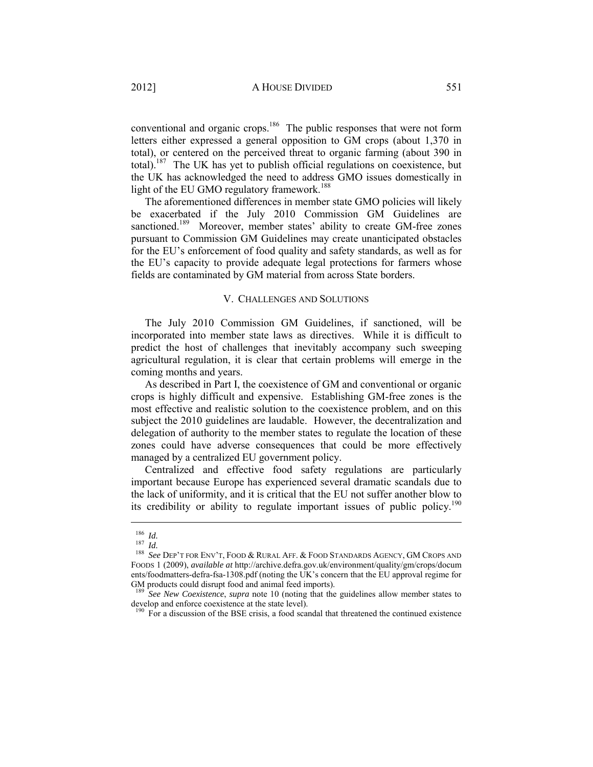conventional and organic crops.<sup>186</sup> The public responses that were not form letters either expressed a general opposition to GM crops (about 1,370 in total), or centered on the perceived threat to organic farming (about 390 in total).<sup>187</sup> The UK has yet to publish official regulations on coexistence, but the UK has acknowledged the need to address GMO issues domestically in light of the EU GMO regulatory framework.<sup>188</sup>

The aforementioned differences in member state GMO policies will likely be exacerbated if the July 2010 Commission GM Guidelines are sanctioned.<sup>189</sup> Moreover, member states' ability to create GM-free zones pursuant to Commission GM Guidelines may create unanticipated obstacles for the EU's enforcement of food quality and safety standards, as well as for the EU's capacity to provide adequate legal protections for farmers whose fields are contaminated by GM material from across State borders.

# V. CHALLENGES AND SOLUTIONS

The July 2010 Commission GM Guidelines, if sanctioned, will be incorporated into member state laws as directives. While it is difficult to predict the host of challenges that inevitably accompany such sweeping agricultural regulation, it is clear that certain problems will emerge in the coming months and years.

As described in Part I, the coexistence of GM and conventional or organic crops is highly difficult and expensive. Establishing GM-free zones is the most effective and realistic solution to the coexistence problem, and on this subject the 2010 guidelines are laudable. However, the decentralization and delegation of authority to the member states to regulate the location of these zones could have adverse consequences that could be more effectively managed by a centralized EU government policy.

Centralized and effective food safety regulations are particularly important because Europe has experienced several dramatic scandals due to the lack of uniformity, and it is critical that the EU not suffer another blow to its credibility or ability to regulate important issues of public policy.<sup>190</sup>

<sup>&</sup>lt;sup>186</sup> *Id.*<br><sup>187</sup> *Id.*<br><sup>188</sup> *See* Dep't for Env't, Food & Rural Aff. & Food Standards Agency, GM Crops and FOODS 1 (2009), *available at* http://archive.defra.gov.uk/environment/quality/gm/crops/docum ents/foodmatters-defra-fsa-1308.pdf (noting the UK's concern that the EU approval regime for GM products could disrupt food and animal feed imports).

<sup>189</sup> *See New Coexistence*, *supra* note 10 (noting that the guidelines allow member states to develop and enforce coexistence at the state level).

 $190$  For a discussion of the BSE crisis, a food scandal that threatened the continued existence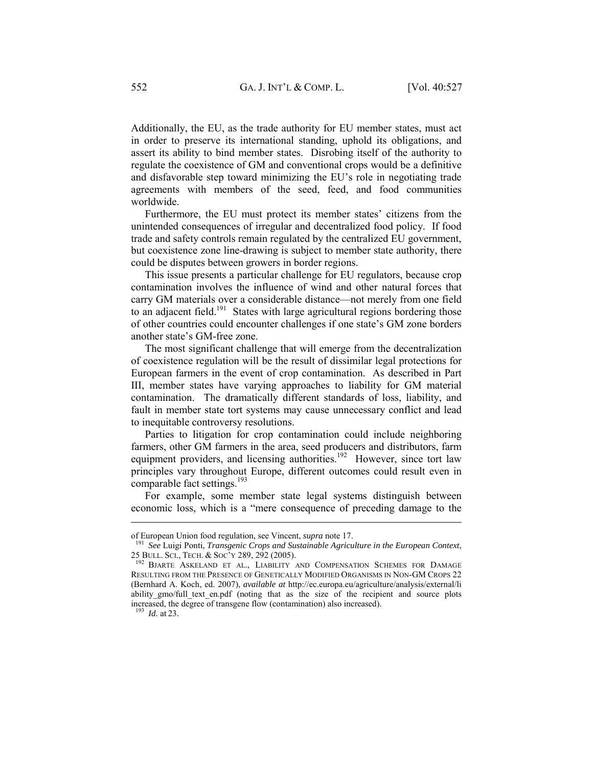Additionally, the EU, as the trade authority for EU member states, must act in order to preserve its international standing, uphold its obligations, and assert its ability to bind member states. Disrobing itself of the authority to regulate the coexistence of GM and conventional crops would be a definitive and disfavorable step toward minimizing the EU's role in negotiating trade agreements with members of the seed, feed, and food communities worldwide.

Furthermore, the EU must protect its member states' citizens from the unintended consequences of irregular and decentralized food policy. If food trade and safety controls remain regulated by the centralized EU government, but coexistence zone line-drawing is subject to member state authority, there could be disputes between growers in border regions.

This issue presents a particular challenge for EU regulators, because crop contamination involves the influence of wind and other natural forces that carry GM materials over a considerable distance—not merely from one field to an adjacent field.<sup>191</sup> States with large agricultural regions bordering those of other countries could encounter challenges if one state's GM zone borders another state's GM-free zone.

The most significant challenge that will emerge from the decentralization of coexistence regulation will be the result of dissimilar legal protections for European farmers in the event of crop contamination. As described in Part III, member states have varying approaches to liability for GM material contamination. The dramatically different standards of loss, liability, and fault in member state tort systems may cause unnecessary conflict and lead to inequitable controversy resolutions.

Parties to litigation for crop contamination could include neighboring farmers, other GM farmers in the area, seed producers and distributors, farm equipment providers, and licensing authorities.<sup>192</sup> However, since tort law principles vary throughout Europe, different outcomes could result even in comparable fact settings.<sup>193</sup>

For example, some member state legal systems distinguish between economic loss, which is a "mere consequence of preceding damage to the

<sup>193</sup> *Id.* at 23.

of European Union food regulation, see Vincent, *supra* note 17.<br><sup>191</sup> *See* Luigi Ponti, *Transgenic Crops and Sustainable Agriculture in the European Context*,<br>25 BULL. SCI., TECH. & SOC'Y 289, 292 (2005).

<sup>&</sup>lt;sup>192</sup> BJARTE ASKELAND ET AL., LIABILITY AND COMPENSATION SCHEMES FOR DAMAGE RESULTING FROM THE PRESENCE OF GENETICALLY MODIFIED ORGANISMS IN NON-GM CROPS 22 (Bernhard A. Koch, ed. 2007), *available at* http://ec.europa.eu/agriculture/analysis/external/li ability gmo/full text en.pdf (noting that as the size of the recipient and source plots increased, the degree of transgene flow (contamination) also increased).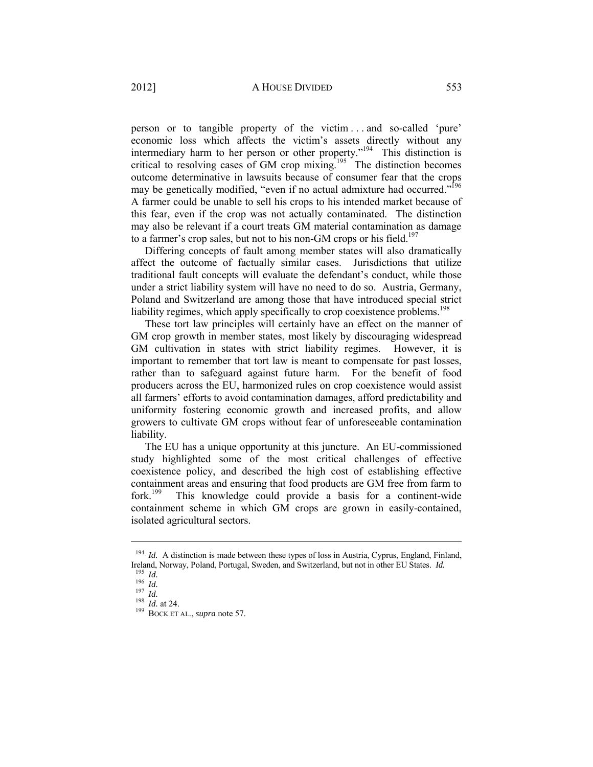person or to tangible property of the victim . . . and so-called 'pure' economic loss which affects the victim's assets directly without any intermediary harm to her person or other property."<sup>194</sup> This distinction is critical to resolving cases of GM crop mixing.195 The distinction becomes outcome determinative in lawsuits because of consumer fear that the crops may be genetically modified, "even if no actual admixture had occurred."<sup>196</sup> A farmer could be unable to sell his crops to his intended market because of this fear, even if the crop was not actually contaminated. The distinction may also be relevant if a court treats GM material contamination as damage to a farmer's crop sales, but not to his non-GM crops or his field.<sup>197</sup>

Differing concepts of fault among member states will also dramatically affect the outcome of factually similar cases. Jurisdictions that utilize traditional fault concepts will evaluate the defendant's conduct, while those under a strict liability system will have no need to do so. Austria, Germany, Poland and Switzerland are among those that have introduced special strict liability regimes, which apply specifically to crop coexistence problems.<sup>198</sup>

These tort law principles will certainly have an effect on the manner of GM crop growth in member states, most likely by discouraging widespread GM cultivation in states with strict liability regimes. However, it is important to remember that tort law is meant to compensate for past losses, rather than to safeguard against future harm. For the benefit of food producers across the EU, harmonized rules on crop coexistence would assist all farmers' efforts to avoid contamination damages, afford predictability and uniformity fostering economic growth and increased profits, and allow growers to cultivate GM crops without fear of unforeseeable contamination liability.

The EU has a unique opportunity at this juncture. An EU-commissioned study highlighted some of the most critical challenges of effective coexistence policy, and described the high cost of establishing effective containment areas and ensuring that food products are GM free from farm to fork.<sup>199</sup> This knowledge could provide a basis for a continent-wide This knowledge could provide a basis for a continent-wide containment scheme in which GM crops are grown in easily-contained, isolated agricultural sectors.

<sup>&</sup>lt;sup>194</sup> *Id.* A distinction is made between these types of loss in Austria, Cyprus, England, Finland, Ireland, Norway, Poland, Portugal, Sweden, and Switzerland, but not in other EU States. *Id.* <sup>195</sup> *Id.* <sup>196</sup> *Id.* <sup>197</sup> *Id.* <sup>198</sup> *Id.* at 24. 199 BOCK ET AL., *supra* note 57.